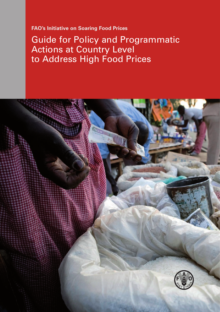**FAO's Initiative on Soaring Food Prices**

Guide for Policy and Programmatic Actions at Country Level to Address High Food Prices

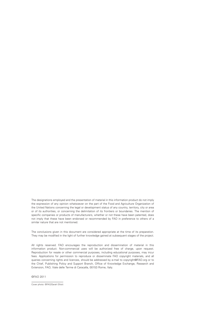The designations employed and the presentation of material in this information product do not imply the expression of any opinion whatsoever on the part of the Food and Agriculture Organization of the United Nations concerning the legal or development status of any country, territory, city or area or of its authorities, or concerning the delimitation of its frontiers or boundaries. The mention of specific companies or products of manufacturers, whether or not these have been patented, does not imply that these have been endorsed or recommended by FAO in preference to others of a similar nature that are not mentioned.

The conclusions given in this document are considered appropriate at the time of its preparation. They may be modified in the light of further knowledge gained at subsequent stages of the project.

All rights reserved. FAO encourages the reproduction and dissemination of material in this information product. Non-commercial uses will be authorized free of charge, upon request. Reproduction for resale or other commercial purposes, including educational purposes, may incur fees. Applications for permission to reproduce or disseminate FAO copyright materials, and all queries concerning rights and licences, should be addressed by e-mail to copyright@FAO.org or to the Chief, Publishing Policy and Support Branch, Office of Knowledge Exchange, Research and Extension, FAO, Viale delle Terme di Caracalla, 00153 Rome, Italy.

©FAO 2011

Cover photo: ©FAO/Sarah Elliott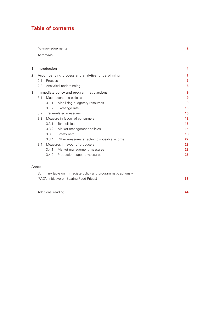# **Table of contents**

|   |                                                  |                                 | Acknowledgements                           | $\overline{2}$ |
|---|--------------------------------------------------|---------------------------------|--------------------------------------------|----------------|
|   |                                                  | Acronyms                        |                                            | 3              |
| 1 |                                                  | Introduction                    |                                            | 4              |
| 2 | Accompanying process and analytical underpinning |                                 |                                            | $\overline{7}$ |
|   | 2.1                                              | Process                         |                                            | $\overline{7}$ |
|   | 2.2                                              |                                 | Analytical underpinning                    | 8              |
| 3 | Immediate policy and programmatic actions        |                                 |                                            | 9              |
|   | 3.1                                              |                                 | Macroeconomic policies                     | 9              |
|   |                                                  | 3.1.1                           | Mobilizing budgetary resources             | 9              |
|   |                                                  | 3.1.2                           | Exchange rate                              | 10             |
|   | 3.2                                              |                                 | Trade-related measures                     | 10             |
|   | 3.3                                              | Measure in favour of consumers  | $12 \overline{ }$                          |                |
|   |                                                  | 3.3.1                           | Tax policies                               | 13             |
|   |                                                  | 3.3.2                           | Market management policies                 | 15             |
|   |                                                  | 3.3.3                           | Safety nets                                | 18             |
|   |                                                  | 3.3.4                           | Other measures affecting disposable income | 22             |
|   | 3.4                                              | Measures in favour of producers |                                            | 23             |
|   |                                                  | 3.4.1                           | Market management measures                 | 23             |
|   |                                                  | 3.4.2                           | Production support measures                | 26             |
|   |                                                  |                                 |                                            |                |
|   | Annex                                            |                                 |                                            |                |

| Summary table on immediate policy and programmatic actions – |    |
|--------------------------------------------------------------|----|
| (FAO's Initiative on Soaring Food Prices)                    | 38 |

Additional reading **44**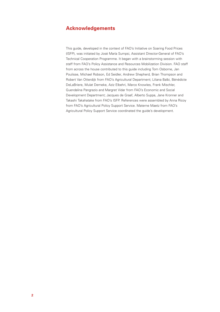# **Acknowledgements**

This guide, developed in the context of FAO's Initiative on Soaring Food Prices (ISFP), was initiated by José María Sumpsi, Assistant Director-General of FAO's Technical Cooperation Programme. It began with a brainstorming session with staff from FAO's Policy Assistance and Resources Mobilization Division. FAO staff from across the house contributed to this guide including Tom Osborne, Jan Poulisse, Michael Robson, Ed Seidler, Andrew Shepherd, Brian Thompson and Robert Van Otterdijk from FAO's Agricultural Department; Liliana Balbi, Bénédicte DeLaBriere, Mulat Demeke, Aziz Elbehri, Marco Knowles, Frank Mischler, Guendalina Pangrazio and Margret Vidar from FAO's Economic and Social Development Department; Jacques de Graaf, Alberto Suppa, Jane Kronner and Takashi Takahatake from FAO's ISFP. References were assembled by Anna Ricoy from FAO's Agricultural Policy Support Service. Materne Maetz from FAO's Agricultural Policy Support Service coordinated the guide's development.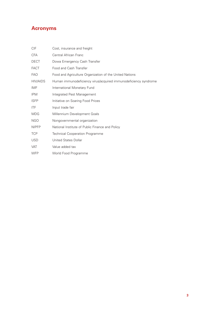# **Acronyms**

| CIF          | Cost, insurance and freight                                     |
|--------------|-----------------------------------------------------------------|
| <b>CFA</b>   | Central African Franc                                           |
| <b>DECT</b>  | Dowa Emergency Cash Transfer                                    |
| <b>FACT</b>  | Food and Cash Transfer                                          |
| <b>FAO</b>   | Food and Agriculture Organization of the United Nations         |
| HIV/AIDS     | Human immunodeficiency virus/acquired immunodeficiency syndrome |
| IMF          | International Monetary Fund                                     |
| <b>IPM</b>   | Integrated Pest Management                                      |
| <b>ISFP</b>  | Initiative on Soaring Food Prices                               |
| <b>ITF</b>   | Input trade fair                                                |
| <b>MDG</b>   | Millennium Development Goals                                    |
| <b>NGO</b>   | Nongovernmental organization                                    |
| <b>NIPFP</b> | National Institute of Public Finance and Policy                 |
| <b>TCP</b>   | <b>Technical Cooperation Programme</b>                          |
| <b>USD</b>   | <b>United States Dollar</b>                                     |
| <b>VAT</b>   | Value added tax                                                 |
| <b>WFP</b>   | World Food Programme                                            |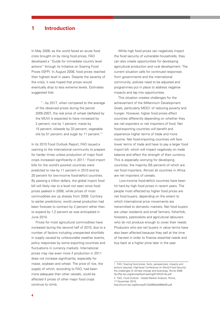# **Introduction**

In May 2008, as the world faced an acute food crisis brought on by rising food prices, FAO developed a "Guide for immediate country level actions" through its Initiative on Soaring Food Prices (ISFP). In August 2008, food prices reached their highest level in years. Despite the severity of the crisis, it was hoped that prices would eventually drop to less extreme levels. Estimates suggested that:

"...by 2017, when compared to the average of the observed prices during the period 2005-2007, the real price of wheat (deflated by the MUV) is expected to have increased by 2 percent; rice by 1 percent; maize by 15 percent; oilseeds by 33 percent; vegetable oils by 51 percent; and sugar by 11 percent."<sup>1</sup>

In its 2010 Food Outlook Report, FAO issued a warning to the international community to prepare for harder times unless production of major food crops increased significantly in 2011.<sup>2</sup> Food import bills for the world's poorest countries were predicted to rise by 11 percent in 2010 and by 20 percent for low-income food-deficit countries. By passing a trillion dollars, the global import food bill will likely rise to a level not seen since food prices peaked in 2008, while prices of most commodities are up sharply from 2009. Contrary to earlier predictions, world cereal production had been forecast to contract by 2 percent rather than to expand by 1.2 percent as was anticipated in June 2010.

Prices for most agricultural commodities have increased during the second half of 2010, due to a number of factors including unexpected shortfalls in supply caused by unfavourable weather events, policy responses by some exporting countries and fluctuations in currency markets. International prices may rise even more if production in 2011 does not increase significantly, especially for maize, soybean and wheat. The price of rice, the supply of which, according to FAO, had been more adequate than other cereals, could be affected if prices of other major food crops continue to climb.

While high food prices can negatively impact the food security of vulnerable households, they can also create opportunities for developing agricultural production and rural development. The current situation calls for continued responses from governments and the international community; policies need to be adjusted and programmes put in place to address negative impacts and tap into opportunities.

This situation creates challenges for the achievement of the Millennium Development Goals, particularly MDG1 of reducing poverty and hunger. However, higher food prices affect countries differently depending on whether they are net exporters or net importers of food. Net food-exporting countries will benefit and experience higher terms of trade and more income. Net food-importing countries will face lower terms of trade and have to pay a larger food import bill, which will impact negatively on trade balance and affect the strength of their currency. This is especially worrying for developing countries, the majority (55 percent) of which are net food importers. Almost all countries in Africa are net importers of cereals.

Low-income food-deficit countries have been hit hard by high food prices in recent years. The people most affected by higher food prices are net food buyers, depending on the extent to which international price movements are transmitted to domestic markets. Net food buyers are urban residents and small farmers, fisherfolk, foresters, pastoralists and agricultural labourers who do not produce enough to cover their needs. Producers who are net buyers in value terms have also been affected because they sell at the time of harvest in order to finance essential needs and buy back at a higher price later in the year.

<sup>1</sup> FAO, Soaring food prices: facts, perspectives, impacts and actions required, High-level Conference on World Food Security: the challenges of climate change and bioenergy, Rome 2008 ftp://ftp.fao.org/docrep/fao/meeting/013/k2414e.pdf 2 FAO, Food Outlook - Global Market Analysis, Rome, 17 November 2010,

http://www.fao.org/docrep/013/al969e/al969e00.pdf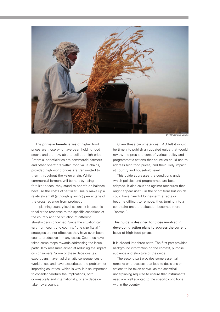

The primary beneficiaries of higher food prices are those who have been holding food stocks and are now able to sell at a high price. Potential beneficiaries are commercial farmers and other operators within food value chains, provided high world prices are transmitted to them throughout the value chain. While commercial farmers will be hurt by rising fertilizer prices, they stand to benefit on balance because the costs of fertilizer usually make up a relatively small (although growing) percentage of the gross revenue from production.

In planning country-level actions, it is essential to tailor the response to the specific conditions of the country and the situation of different stakeholders concerned. Since the situation can vary from country to country, "one size fits all" strategies are not effective; they have even been counterproductive in many cases. Countries have taken some steps towards addressing the issue, particularly measures aimed at reducing the impact on consumers. Some of these decisions (e.g. export bans) have had dramatic consequences on world prices and have exacerbated the problem for importing countries, which is why it is so important to consider carefully the implications, both domestically and internationally, of any decision taken by a country.

©FAO/Danfung Dennis

Given these circumstances, FAO felt it would be timely to publish an updated guide that would review the pros and cons of various policy and programmatic actions that countries could use to address high food prices, and their likely impact at country and household level.

This guide addresses the conditions under which policies and programmes are best adapted. It also cautions against measures that might appear useful in the short term but which could have harmful longer-term effects or become difficult to remove, thus turning into a constraint once the situation becomes more "normal".

# This guide is designed for those involved in developing action plans to address the current issue of high food prices.

It is divided into three parts. The first part provides background information on the context, purpose, audience and structure of the guide.

The second part provides some essential remarks on processes that lead to decisions on actions to be taken as well as the analytical underpinning required to ensure that instruments used are well adapted to the specific conditions within the country.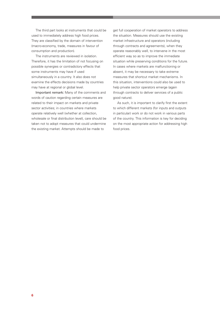The third part looks at instruments that could be used to immediately address high food prices. They are classified by the domain of intervention (macro-economy, trade, measures in favour of consumption and production).

The instruments are reviewed in isolation. Therefore, it has the limitation of not focusing on possible synergies or contradictory effects that some instruments may have if used simultaneously in a country. It also does not examine the effects decisions made by countries may have at regional or global level.

Important remark: Many of the comments and words of caution regarding certain measures are related to their impact on markets and private sector activities; in countries where markets operate relatively well (whether at collection, wholesale or final distribution level), care should be taken not to adopt measures that could undermine the existing market. Attempts should be made to

get full cooperation of market operators to address the situation. Measures should use the existing market infrastructure and operators (including through contracts and agreements), when they operate reasonably well, to intervene in the most efficient way so as to improve the immediate situation while preserving conditions for the future. In cases where markets are malfunctioning or absent, it may be necessary to take extreme measures that shortcut market mechanisms. In this situation, interventions could also be used to help private sector operators emerge (again through contracts to deliver services of a public good nature).

As such, it is important to clarify first the extent to which different markets (for inputs and outputs in particular) work or do not work in various parts of the country. This information is key for deciding on the most appropriate action for addressing high food prices.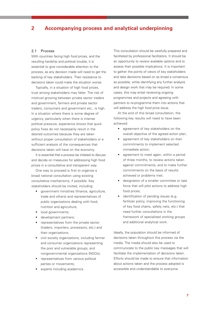# **2 Accompanying process and analytical underpinning**

#### 2.1 Process

With countries facing high food prices, and the resulting hardship and political trouble, it is essential to give considerable attention to the process, as any decision made will need to get the backing of key stakeholders. Their resistance to decisions taken could make the situation worse.

Typically, in a situation of high food prices, trust among stakeholders may falter. The risk of mistrust growing between private sector traders and government, farmers and private sector traders, consumers and government etc., is high. In a situation where there is some degree of urgency, particularly when there is intense political pressure, experience shows that quick policy fixes do not necessarily result in the desired outcomes because they are taken without proper consultation of stakeholders or a sufficient analysis of the consequences that decisions taken will have on the economy.

It is essential that a process be initiated to discuss and decide on measures for addressing high food prices in a consultative and transparent way.

One way to proceed is first to organize a broad national consultation using existing consultative mechanisms, if possible. Key stakeholders should be invited, including:

- government ministries (finance, agriculture, trade and others) and representatives of public organizations dealing with food, nutrition and agriculture;
- local governments;
- development partners;
- representatives from the private sector (traders, importers, processors, etc.) and their organizations;
- civil society organizations, including farmer and consumer organizations representing the poor and vulnerable groups, and nongovernmental organizations (NGOs);
- representatives from various political parties or movements;
- experts including academics.

This consultation should be carefully prepared and facilitated by professional facilitators. It should be an opportunity to review available options and to assess their possible implications. It is important to gather the points of views of key stakeholders and take decisions based on as broad a consensus as possible, while identifying any further analysis and design work that may be required. In some cases, this may entail reviewing ongoing programmes and projects and agreeing with partners to re-programme them into actions that will address the high food price issue.

At the end of this broad consultation, the following key results will need to have been achieved:

- agreement of key stakeholders on the overall objective of the agreed action plan;
- agreement of key stakeholders on their commitments to implement selected immediate action;
- agreement to meet again, within a period of three months, to review actions taken against commitments, and to make further commitments on the basis of results achieved or problems met;
- designation of a smaller committee or task force that will pilot actions to address high food prices;
- identification of pending issues (e.g. fertilizer policy, improving the functioning of key food chains, safety nets, etc.) that need further consultations in the framework of specialised working groups and additional analytical work.

Ideally, the population should be informed of decisions taken throughout this process via the media. The media should also be used to communicate to the public key messages that will facilitate the implementation of decisions taken. Efforts should be made to ensure that information about actions taken and the process adopted is accessible and understandable to everyone.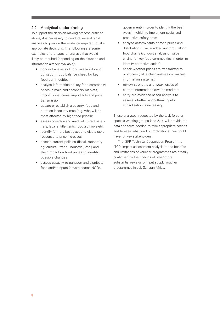# 2.2 Analytical underpinning

To support the decision-making process outlined above, it is necessary to conduct several rapid analyses to provide the evidence required to take appropriate decisions. The following are some examples of the types of analysis that would likely be required (depending on the situation and information already available):

- conduct analysis of food availability and utilisation (food balance sheet for key food commodities);
- analyse information on key food commodity prices in main and secondary markets, import flows, cereal import bills and price transmission;
- update or establish a poverty, food and nutrition insecurity map (e.g. who will be most affected by high food prices);
- assess coverage and reach of current safety nets, legal entitlements, food aid flows etc.;
- identify farmers best placed to give a rapid response to price increases;
- assess current policies (fiscal, monetary, agricultural, trade, industrial, etc.) and their impact on food prices to identify possible changes;
- assess capacity to transport and distribute food and/or inputs (private sector, NGOs,

government) in order to identify the best ways in which to implement social and productive safety nets;

- analyse determinants of food prices and distribution of value added and profit along food chains (conduct analysis of value chains for key food commodities in order to identify corrective action);
- check whether prices are transmitted to producers (value chain analyses or market information systems);
- review strengths and weaknesses of current information flows on markets;
- carry out evidence-based analysis to assess whether agricultural inputs subsidisation is necessary.

These analyses, requested by the task force or specific working groups (see 2.1), will provide the data and facts needed to take appropriate actions and foresee what kind of implications they could have for key stakeholders.

The ISFP Technical Cooperation Programme (TCP) impact assessment analysis of the benefits and limitations of voucher programmes are broadly confirmed by the findings of other more substantial reviews of input supply voucher programmes in sub-Saharan Africa.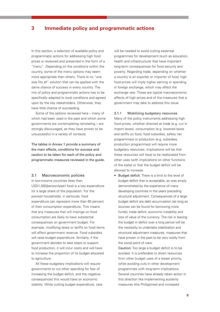# **3 Immediate policy and programmatic actions**

In this section, a selection of available policy and programmatic actions for addressing high food prices is reviewed and presented in the form of a "menu". Depending on the conditions within the country, some of the menu options may seem more appropriate than others. There is no "one size fits all" solution that can be applied with the same chance of success in every country. The mix of policy and programmatic actions has to be specifically adapted to local conditions and agreed upon by the key stakeholders. Otherwise, they have little chance of succeeding.

Some of the options reviewed here – many of which had been used in the past and which some governments are contemplating reinstating – are strongly discouraged, as they have proven to be unsuccessful in a variety of contexts.

The tables in Annex 1 provide a summary of the main effects, conditions for success and caution to be taken for each of the policy and programmatic measures reviewed in the guide.

#### 3.1 Macroeconomic policies

In low-income countries (less than USD1,000/person/year) food is a key expenditure for a large share of the population. For the poorest households, in particular, food expenditure can represent more than 60 percent of their consumption expenditure. This means that any measures that will impinge on food consumption are likely to have substantial consequences on government budget. For example, modifying taxes or tariffs on food items will affect government revenue. Food subsidies will raise budget expenditure. Similarly, if the government decides to take steps to support food production, it will incur costs and will have to increase the proportion of its budget allocated to agriculture.

All these budgetary implications will require governments to cut other spending for fear of increasing the budget deficit, and the negative consequences this would have on economic stability. While cutting budget expenditure, care will be needed to avoid cutting essential programmes for development (such as education, health and infrastructure) that have important long-term consequences for food security and poverty. Regarding trade, depending on whether a country is an exporter or importer of food, high food prices will imply higher earning or spending in foreign exchange, which may affect the exchange rate. These are typical macroeconomic effects of high prices and of the measures that a government may take to address this issue.

#### 3.1.1 Mobilizing budgetary resources

Many of the policy instruments addressing high food prices, whether directed at trade (e.g. cut in import taxes), consumption (e.g. lowered taxes and tariffs on food, food subsidies, safety net programmes) or production (e.g. subsidies, production programmes) will require more budgetary resources. Implications will be that these resources will have to be reallocated from other uses (with implications on other functions of the state) or that the budget deficit will be allowed to increase.

• Budget deficit. There is a limit to the level of budget deficit that is acceptable, as was amply demonstrated by the experience of many developing countries in the years preceding structural adjustment. Consequences of a large budget deficit are debt accumulation (as long as sources can be found for borrowing more funds), trade deficit, economic instability and loss of value of the currency. The risk in leaving the budget in deficit over a long period will be the necessity to undertake stabilization and structural adjustment measures, measures that have proven in the past to be very costly from the social point of view.

Caution: Too large a budget deficit is to be avoided. It is preferable to divert resources from other budget uses of a lesser priority, while avoiding cuts in other development programmes with long-term implications. Several countries have already taken action in this direction like implementing austerity measures (the Philippines) and increased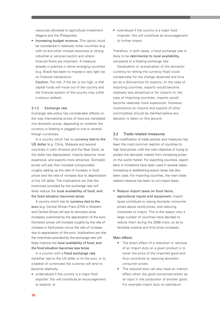resources allocated to agricultural investment (Algeria and the Philippines).

• Increasing budget revenue. This option could be considered in relatively richer countries (e.g. with oil and other mineral resources or strong industrial or services sector) and where financial flows are important. A measure already in practice in some emerging countries (e.g. Brazil) has been to impose a very light tax on financial transactions.

Caution: The risk, if the tax is too high, is that capital funds will move out of the country and the financial system of the country may suffer a serious setback.

#### 3.1.2 Exchange rate

Exchange rate policy has considerable effects on the way international prices of food are translated into domestic prices, depending on whether the currency is floating or pegged to one or several foreign currencies.

In a country which has its currency tied to the US dollar (e.g. China, Malaysia and several countries in Latin America and the Near East), as the dollar has depreciated, imports become more expensive, and exports more attractive. Domestic prices will see their increase compounded, roughly adding up the rate of increase in food prices and the rate of increase due to depreciation of the US dollar. The implications are that the incentives provided by the exchange rate will likely reduce the local availability of food, and the food situation becomes tense.

A country which has its currency tied to the euro (e.g. Central African Franc [CFA] in Western and Central Africa) will see its domestic price increases cushioned by the appreciation of the euro. Domestic prices will increase roughly by the rate of increase in food prices minus the rate of increase due to appreciation of the euro. Implications are that the incentives provided by the exchange rate will likely improve the local availability of food, and the food situation becomes less tense.

In a country with a fixed exchange rate (whether tied to the US dollar or to the euro, or to a basket of currencies) the currency will tend to become relatively:

• undervalued if the country is a major food exporter: this will constitute an encouragement to exports; or

• overvalued if the country is a major food importer: this will constitute an encouragement to further import.

Therefore, in both cases, a fixed exchange rate is likely to be detrimental to local availability, compared to a floating exchange rate.

Devaluation or re-evaluation of the domestic currency (or letting the currency float) could compensate for the change observed and thus act as a disincentive for exports, (in the case of exporting countries, exports would become relatively less attractive) or for imports (in the case of importing countries, imports would become relatively more expensive). However, implications on imports and exports of other commodities should be clarified before any decision is taken on this ground.

#### 3.2 Trade-related measures

The modification of trade policies and measures has been the most common reaction of countries to high food prices, with the main objective of trying to protect the domestic market from increasing prices on the world market. For exporting countries, export bans or limitations have been used in several cases. Increasing or establishing export taxes has also been used. For importing countries, the main traderelated measure has been to cut import taxes.

• Reduce import taxes on food items, agricultural inputs and equipment. Import taxes contribute to raising domestic consumer prices above world prices, and reducing incentives to import. This is the reason why a large number of countries have decided to reduce them during the 2008 crisis, so as to facilitate imports and limit price increases.

#### Main effects:

- The direct effect of a reduction or removal of an import duty on a given product is to lower the price of the imported good and thus contribute to reducing domestic consumer prices.
- The reduced duty can also have an indirect effect when the good concerned enters as an input in the production of another good. For example import duty on petroleum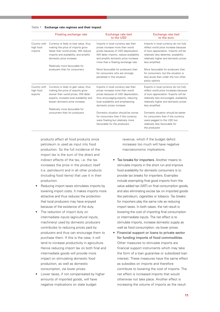**Table 1 Exchange rate regimes and their impact**

|                                      | Floating exchange rate                                                                                                                                                                                                              | Exchange rate tied<br>to the USD                                                                                                                                                                                                       | Exchange rate tied<br>to the euro                                                                                                                                                                                                |
|--------------------------------------|-------------------------------------------------------------------------------------------------------------------------------------------------------------------------------------------------------------------------------------|----------------------------------------------------------------------------------------------------------------------------------------------------------------------------------------------------------------------------------------|----------------------------------------------------------------------------------------------------------------------------------------------------------------------------------------------------------------------------------|
| Country with<br>high food<br>imports | Currency is likely to lose value, thus<br>making the price of imports grow<br>faster than world prices. Will reduce<br>imports and availability, and amplify<br>domestic price increase.<br>Relatively more favourable for          | Imports in local currency see their<br>prices increase more than world<br>prices because of USD depreciation.<br>Will deter imports, reduce availability<br>and amplify domestic price increase<br>more than a floating exchange rate. | Imports in local currency do not fully<br>reflect world price increase because<br>of euro appreciation. Imports will be<br>relatively less deterred, availability<br>relatively higher and domestic prices<br>less amplified.    |
|                                      | producers than for consumers                                                                                                                                                                                                        | More favourable for producers than<br>for consumers who are strongly<br>penalised in this situation                                                                                                                                    | More favourable for producers than<br>for consumers, but the situation is<br>less acute than under the two other<br>policy options                                                                                               |
| Country with<br>high food<br>exports | Currency is likely to gain value, thus<br>making the price of exports grow<br>slower than world prices. Will deter<br>exports, increase local availability and<br>lessen domestic price increase.<br>Relatively more favourable for | Exports in local currency see their<br>prices increase more than world<br>prices because of USD depreciation,<br>thus encouraging exports, reducing<br>local availability and emphasizing<br>domestic prices increase.                 | Exports in local currency do not fully<br>reflect world price increases because<br>of euro appreciation. Exports will be<br>relatively less encouraged, availability<br>relatively higher and domestic prices<br>less amplified. |
|                                      | consumers than for producers                                                                                                                                                                                                        | Domestic situation should be worse<br>for consumers than if the currency<br>were floating but relatively more<br>favourable for the producers                                                                                          | Domestic situation should be better<br>for consumers than if the currency<br>were pegged to the USD but<br>relatively less favourable for<br>the producers                                                                       |

products affect all food products since petroleum is used as input into food production. So the full incidence of the import tax is the sum of the direct and indirect effects of the tax, i.e. the tax increases the price in the product itself (i.e. petroleum) and in all other products (including food items) that use it in their production.

- Reducing import taxes stimulates imports by lowering import costs. It makes imports more attractive and thus reduces the protection that local producers may have enjoyed because of the existence of the duty.
- The reduction of import duty on intermediate inputs (agricultural inputs, machinery) used by domestic producers contributes to reducing prices paid by producers and thus can encourage them to purchase them. If this is the case, it will tend to increase productivity in agriculture. Hence reducing import tax on both final and intermediate goods will provide more impact on stimulating domestic food production, as well as domestic consumption, via lower prices.
- Lower taxes, if not compensated by higher amounts of imported goods, will have negative implications on state budget

revenue, which if the budget deficit increases too much will have negative macroeconomic implications.

- Tax breaks for importers. Another means to stimulate imports in the short run and improve food availability for domestic consumers is to provide tax breaks for importers. Examples include exempting final good imports from the value added tax (VAT) on final consumption goods, and also eliminating excise tax on imported goods like petroleum, cigarettes or tobacco. Tax breaks for importers play the same role as reducing import taxes. In both cases, the net result is lowering the cost of importing final consumption or intermediate inputs. The net effect is to stimulate imports, increase domestic supply as well as food consumption, via lower prices.
- Financial support or loans to private sector for funding imports of food commodities. Other measures to stimulate imports are financial support instruments which may take the form of a loan guarantee or subsidized loan interest. These measures have the same effect as subsidies on imports and therefore contribute to lowering the cost of imports. The net effect is increased imports that would otherwise not take place. Another effect is increasing the volume of imports as the result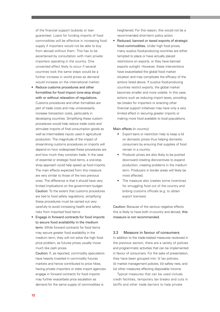of the financial support (subsidy or loan guarantee). Loans for funding imports of food commodities will be effective in increasing food supply if importers would not be able to buy from abroad without them. This has to be ascertained by consultation with main private importers operating in the country. One unwanted effect likely to occur if several countries took the same steps would be a further increase in world prices as demand would increase on the international market.

- Reduce customs procedures and other formalities for food import (one-stop shop) with or without relaxation of regulations. Customs procedures and other formalities are part of trade costs and may unnecessarily increase transaction costs, particularly in developing countries. Simplifying these custom procedures would help reduce trade costs and stimulate imports of final consumption goods as well as intermediate inputs used in agricultural production. The magnitude of the impact of streamlining customs procedures on imports will depend on how widespread these procedures are and how much they constrain trade. In the case of essential or strategic food items, a one-stop shop approach could help speed up food imports. The main effects expected from this measure are very similar to those of the two previous ones. The difference is that it should have very limited implications on the government budget. Caution: To the extent that customs procedures are tied to food safety regulations, simplifying these procedures must be carried out very carefully to avoid increasing health and safety risks from imported food items.
- Engage in forward contracts for food imports to secure food availability in the medium term. While forward contracts for food items may secure greater food availability in the medium term, they will not solve the high food price problem, as futures prices usually move much like cash prices.

Caution: If, as reported, commodity speculators have heavily invested in commodity futures markets and hence contributed to price hikes, having private importers or state import agencies engage in forward contracts for food imports may further exacerbate price escalation as demand for the same supply of commodities is

heightened. For this reason, this would not be a recommended short-term policy action.

• Reduced, banned or taxed exports of strategic food commodities. Under high food prices, many surplus food-producing countries are either tempted to place or have actually placed restrictions on exports, or they have banned exports outright. However, these interventions have exacerbated the global food market situation and may complicate the efficacy of the actions listed above. If surplus food-producing countries restrict exports, the global market becomes smaller and more volatile. In this case, actions such as reducing import taxes, providing tax breaks for importers or enacting other financial support initiatives may have only a very limited effect in securing greater imports or making more food available to local populations.

Main effects (in country):

- Export bans or restriction help to keep a lid on domestic prices thus helping domestic consumers by ensuring that supplies of food remain in a country.
- Producer prices are also likely to be pushed downward creating disincentives to expand production, creating problems in the medium term. Producers in border areas will likely be most affected.
- The measure also creates some incentives for smuggling food out of the country and bribing customs officials (e.g. to obtain export licenses).

Caution: Because of the serious negative effects this is likely to have both in-country and abroad, this measure is not recommended.

# 3.3 Measure in favour of consumers

In addition to the trade-related measures reviewed in the previous section, there are a variety of policies and programmatic activities that can be implemented in favour of consumers. For the sake of presentation, they have been grouped into: (i) tax policies; (ii) market management policies; (iii) safety nets; and (iv) other measures affecting disposable income.

Typical measures that can be used include credit facilities, temporary tax breaks and cuts in tariffs and other trade barriers to help private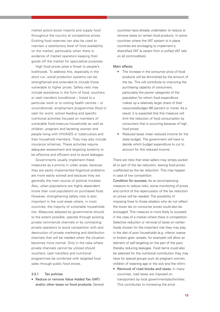market actors boost imports and supply food throughout the country at competitive prices. Existing food reserves can also be used to maintain a satisfactory level of food availability on the market, particularly when there is evidence of market operators keeping their goods off the market for speculative purposes.

High food prices pose a threat to people's livelihoods. To address this, especially in the short run, social protection systems can be strengthened and extended to include those vulnerable to higher prices. Safety nets may include assistance in the form of food, vouchers or cash transfers (conditional – linked to a particular work or to visiting health centres – or unconditional), employment programmes (food or cash for work), school feeding and specific nutritional activities focused on members of vulnerable food-insecure households as well as children, pregnant and lactating women and people living with HIV/AIDS or tuberculosis and their household members. They may also include insurance schemes. These activities require adequate assessment and targeting systems to be effective and efficient and to avoid leakages.

Governments usually implement these measures as a priority in urban areas, because they are easily implemented (logistical problems are more easily solved) and because they are generally the main source of political troubles. Also, urban populations are highly dependent (more than rural population) on purchased food. However, strengthening safety nets is also important in the rural areas where, in most countries, the majority of vulnerable households live. Measures adopted by governments should, to the extent possible, operate through existing private commercial channels or by contracting private operators to avoid competition with and destruction of private marketing and distribution channels that will be needed when the situation becomes more normal. Only in the case where private channels cannot be utilized should vouchers, cash transfers and nutritional programmes be combined with targeted food sales through public food stores.

#### 3.3.1 Tax policies

• Reduce or remove Value Added Tax (VAT) and/or other taxes on food products. Several countries have already undertaken to reduce or remove taxes on certain food products. In some countries where the VAT system is in place, countries are envisaging to implement a diversified VAT (a variant from a unified VAT rate on all commodities).

# Main effects:

- The increase in the consumer price of food products will be diminished by the amount of the tax. This will contribute to improving the purchasing capacity of consumers, particularly the poorer categories of the population for whom food expenditure makes up a relatively larger share of their resources/budget (60 percent or more). As a result, it is expected that this measure will limit the reduction of food consumption by consumers that is occurring because of high food prices.
- Reduced taxes mean reduced income for the state budget. The government will have to decide which budget expenditure to cut to account for this reduced income.

There are risks that retail sellers may simply pocket all or part of the tax reduction, leaving food prices unaffected by the tax reduction. This may happen in case of low competition.

Condition for success: As an accompanying measure to reduce risks, some monitoring of prices and control of the repercussion of the tax reduction on prices will be needed. The possibility of imposing fines to those retailers who do not reflect the lower tax on consumer prices could also be envisaged. This measure is more likely to succeed in the case of a market where there is competition. Selective reduction or removal of taxes on certain foods chosen for the important role they may play in the diet of poor households (e.g. inferior coarse or broken grain cereals, for example) will allow an element of self-targeting on the part of the poor, thereby reducing leakages. Food items could also be selected for the nutritional contribution they may have for special groups such as pregnant women, children of weaning age or the sick and the infirm.

• Removal of road blocks and taxes. In many countries, road taxes are imposed on transporters by local governments/authorities. This contributes to increasing the price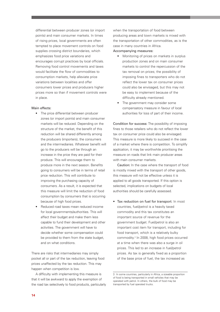differential between producer zones (or import points) and main consumer markets. In times of rising prices, local governments are often tempted to place movement controls on food supplies crossing district boundaries, which emphasizes food price variations and encourages corrupt practices by local officials. Removing food control movements and taxes would facilitate the flow of commodities to consumption markets, help alleviate price variations between localities and offer consumers lower prices and producers higher prices more so than if movement controls were in place.

#### Main effects:

- The price differential between producer zones (or import points) and main consumer markets will be reduced. Depending on the structure of the market, the benefit of this reduction will be shared differently among the producers (importers), the consumers and the intermediaries. Whatever benefit will go to the producers will be through an increase in the price they are paid for their produce. This will encourage them to produce more in the next season. Benefits going to consumers will be in terms of retail price reduction. This will contribute to improving the purchasing capacity of consumers. As a result, it is expected that this measure will limit the reduction of food consumption by consumers that is occurring because of high food prices.
- Reduced road taxes mean reduced income for local governments/authorities. This will affect their budget and make them less capable to fund their development and other activities. The government will have to decide whether some compensation could be provided to them from the state budget, and on what conditions.

There are risks that intermediaries may simply pocket all or part of the tax reduction, leaving food prices unaffected by the tax reduction. This may happen when competition is low.

A difficulty with implementing this measure is that it will be awkward to apply the exemption of the road tax selectively to food products, particularly when the transportation of food between producing areas and town markets is mixed with the transportation of other commodities, as is the case in many countries in Africa.

# Accompanying measures:

- Monitoring of prices on markets in surplus production zones and on main consumer markets to control the repercussion of the tax removal on prices; the possibility of imposing fines to transporters who do not reflect the lower tax on consumer prices could also be envisaged, but this may not be easy to implement because of the difficulty already mentioned.
- The government may consider some compensatory measure in favour of local authorities for loss of part of their income.

Condition for success: The possibility of imposing fines to those retailers who do not reflect the lower tax on consumer price could also be envisaged. This measure is more likely to succeed in the case of a market where there is competition. To simplify application, it may be worthwhile prioritising the measure on roads that link main producer areas with main consumer markets.

Caution: In the case where the transport of food is mostly mixed with the transport of other goods, this measure will not be effective unless it is applied to all goods transported. If this option is selected, implications on budgets of local authorities should be carefully assessed.

• Tax reduction on fuel for transport. In most countries, fuel/petrol is a heavily taxed commodity and this tax constitutes an important source of revenue for the government budget. Fuel/petrol is also an important cost item for transport, including for food transport, which is a relatively bulky commodity.3 In 2008, high food prices occurred at a time when there was also a surge in oil prices. This led to an increase in fuel/petrol prices. As tax is generally fixed as a proportion of the base price of fuel, the tax increased as

<sup>3</sup> In some countries, particularly in Africa, a sizeable proportion of food is being transported in small vehicles that may be operated with petrol. In others, the bulk of food may be transported by fuel operated trucks.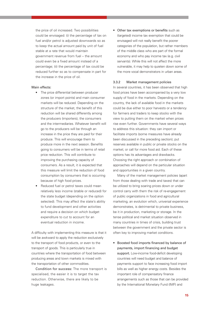the price of oil increased. Two possibilities could be envisaged: (i) the percentage of tax on fuel and/or petrol is adjusted downwards so as to keep the actual amount paid by unit of fuel stable at a rate that would maintain government revenue from fuel – the amount could even be a fixed amount instead of a percentage; (ii) the percentage of tax could be reduced further so as to compensate in part for the increase in the price of oil.

#### Main effects:

- The price differential between producer zones (or import points) and main consumer markets will be reduced. Depending on the structure of the market, the benefit of this reduction will be shared differently among the producers (importers), the consumers and the intermediaries. Whatever benefit will go to the producers will be through an increase in the price they are paid for their produce. This will encourage them to produce more in the next season. Benefits going to consumers will be in terms of retail price reduction. This will contribute to improving the purchasing capacity of consumers. As a result, it is expected that this measure will limit the reduction of food consumption by consumers that is occurring because of high food prices.
- Reduced fuel or petrol taxes could mean relatively less income (stable or reduced) for the state budget (depending on the option selected). This may affect the state's ability to fund development and other activities and require a decision on which budget expenditure to cut to account for an eventual reduction in income.

A difficulty with implementing this measure is that it will be awkward to apply the reduction exclusively to the transport of food products, or even to the transport of goods. This is particularly true in countries where the transportation of food between producing areas and town markets is mixed with the transportation of other commodities.

Condition for success: The more transport is specialised, the easier it is to target the tax reduction. Otherwise, there are likely to be huge leakages.

• Other tax exemptions or benefits such as (targeted) income tax exemption that could be envisaged will not really benefit the poorer categories of the population, but rather members of the middle class who are part of the formal economy and who pay income tax (e.g. civil servants). While this will not affect the more vulnerable, it may help to quieten down some of the more vocal demonstrators in urban areas.

#### 3.3.2 Market management policies

In several countries, it has been observed that high food prices have been accompanied by a very low supply of food in the markets. Depending on the country, the lack of available food in the markets could be due either to poor harvests or a tendency for farmers and traders to keep stocks with the view to putting them on the market when prices rise even further. Governments have several ways to address this situation: they can import or facilitate imports (some measures have already been discussed in the preceding section); put reserves available in public or private stocks on the market; or call for more food aid. Each of these options has its advantages and drawbacks. Choosing the right approach or combination of approaches will depend on the particular situation and opportunities in a given country.

Many of the market management policies (apart from those dealing with trade and taxes) that can be utilized to bring soaring prices down or under control carry with them the risk of re-engagement of public organizations in food and agricultural marketing, an evolution which, universal experience demonstrates, is detrimental to private business, be it in production, marketing or storage. In the tense political and market situation observed in many countries in times of crisis, building trust between the government and the private sector is often key to improving market conditions.

• Boosted food imports financed by balance of payments, import financing and budget support. Low-income food-deficit developing countries will need budget and balance of payments support to face increasing food import bills as well as higher energy costs. Besides the important role of compensatory finance arrangements such as those that can be provided by the International Monetary Fund (IMF) and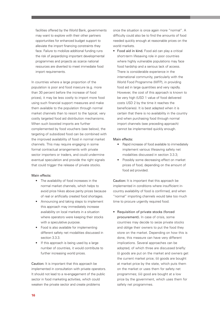facilities offered by the World Bank, governments may want to explore with their other partners opportunities for enhanced budget support to alleviate the import financing constraints they face. Failure to mobilize additional funding runs the risk of jeopardizing important developmental programmes and projects as scarce national resources are diverted to meet immediate food import requirements.

In countries where a large proportion of the population is poor and food insecure (e.g. more than 30 percent before the increase of food prices), it may be less costly to import more food using such financial support measures and make them available to the population through normal market channels than to resort to the typical, very costly targeted food aid distribution mechanisms. When such boosted imports are further complemented by food vouchers (see below), the targeting of subsidized food can be combined with the improved availability of food in normal market channels. This may require engaging in some formal contractual arrangements with private sector importers or traders, and could undermine eventual speculation and provide the right signals that could trigger the release of private stocks.

#### Main effects:

- The availability of food increases in the normal market channels, which helps to avoid price hikes above parity prices because of real or artificially created food shortages.
- Announcing and taking steps to implement this approach may immediately increase availability on local markets in a situation where operators were keeping their stocks with a speculative purpose.
- Food is also available for implementing different safety net modalities discussed in section 3.3.3.
- If this approach is being used by a large number of countries, it would contribute to further increasing world prices.

Caution: It is important that this approach be implemented in consultation with private operators. It should not lead to a re-engagement of the public sector in food marketing activities, which could weaken the private sector and create problems

once the situation is once again more "normal". A difficulty could also be to find the amounts of food needed quickly enough at reasonable prices on the world markets.

• Food aid in kind. Food aid can play a critical short-term lifesaving role in poor countries where highly vulnerable populations may face food hardship and a serious lack of access. There is considerable experience in the international community, particularly with the World Food Programme (WFP), in providing food aid in large quantities and very rapidly. However, the cost of this approach is known to be very high (USD 1 value of food delivered costs USD 2 by the time it reaches the beneficiaries). It is best adapted when it is certain that there is no availability in the country and when purchasing food through normal import channels (see preceding approach) cannot be implemented quickly enough.

#### Main effects:

- Rapid increase of food available to immediately implement various lifesaving safety net modalities discussed in section 3.3.3;
- Possibly some decreasing effect on market prices of food, depending on the amount of food aid provided.

Caution: It is important that this approach be implemented in conditions where insufficient incountry availability of food is confirmed, and when "normal" importing channels would take too much time to procure urgently required food.

• Requisition of private stocks (forced procurement). In case of crisis, some countries may decide to seize private stocks and oblige their owners to put the food they store on the market. Depending on how this is done, this measure can have very different implications. Several approaches can be adopted, of which three are discussed briefly: (i) goods are put on the market and owners get the current market price; (ii) goods are bought at market price by the state, which puts them on the market or uses them for safety net programmes; (iii) good are bought at a low price by the government, which uses them for safety net programmes.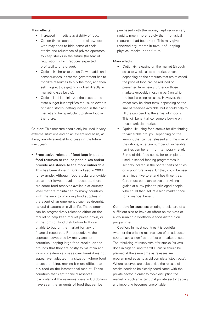# Main effects:

- Increased immediate availability of food.
- Option (i): resistance from stock owners who may seek to hide some of their stocks and reluctance of private operators to keep stocks in the future (for fear of requisition, which reduces expected profitability of storage).
- Option (ii): similar to option (i), with additional consequences in that the government has to mobilize resources to buy the food, and then sell it again, thus getting involved directly in marketing (see below).
- Option (iii): this minimizes the costs to the state budget but amplifies the risk to owners of hiding stocks, getting involved in the black market and being reluctant to store food in the future.

Caution: This measure should only be used in very extreme situations and on an exceptional basis, as it may amplify eventual food crises in the future (next year).

• Progressive release of food kept in public food reserves to reduce price hikes and/or provide assistance to the more vulnerable. This has been done in Burkina Faso in 2008, for example. Although food stocks worldwide are at their lowest levels in decades, there are some food reserves available at country level that are maintained by many countries with the view to providing food supplies in the event of an emergency such as drought, natural disasters or civil strife. These stocks can be progressively released either on the market to help keep market prices down, or in the form of food distribution to those unable to buy on the market for lack of financial resources. Retrospectively, the approach advocated by many against countries keeping large food stocks (on the grounds that they are costly to maintain and incur considerable losses over time) does not appear well adapted in a situation where food prices are rising, making it more difficult to buy food on the international market. Those countries that kept financial reserves (particularly if the reserves were in US dollars) have seen the amounts of food that can be

purchased with the money kept reduce very rapidly, much more rapidly than if physical resources had been kept. This may give renewed arguments in favour of keeping physical stocks in the future.

#### Main effects:

- Option (i): releasing on the market (through sales to wholesalers at market price); depending on the amounts that are released, the price of food can be reduced or prevented from rising further on those markets (probably mostly urban) on which the food is being released. However, the effect may be short-term, depending on the size of reserves available, but it could help to fill the gap pending the arrival of imports. This will benefit all consumers buying on those particular markets.
- Option (ii): using food stocks for distributing to vulnerable groups. Depending on the amount that can be released and the size of the rations, a certain number of vulnerable families can benefit from temporary relief. Some of this food could, for example, be used in school feeding programmes in schools located in the poorer parts of cities or in poor rural areas. Or they could be used as an incentive to attend health centres. Care must be taken to avoid providing grains at a low price to privileged people who could then sell at a high market price for a financial benefit.

Condition for success: existing stocks are of a sufficient size to have an effect on markets or allow running a worthwhile food distribution programme.

Caution: In most countries it is doubtful whether the existing reserves are of an adequate size to have a significant effect on market prices. The rebuilding of reserves/buffer stocks (as was done in Niger during the 2008 crisis) should be planned at the same time as releases are programmed so as to avoid complete 'stock outs'. Where reserves are substantial, the release of stocks needs to be closely coordinated with the private sector in order to avoid disrupting the market to such an extent that private sector trading and importing becomes unprofitable.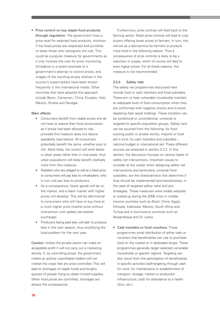• Price control on key staple food products through regulation. The government fixes a price level for selected food products, monitors if the fixed prices are respected and punishes or taxes those who transgress the rule. This could be a popular measure for governments as it only involves the cost for price monitoring. Zimbabwe is a recent example of a government's attempt to control prices, and images of the resulting empty shelves in the country's supermarkets have been shown frequently in the international media. Other countries that have adopted this approach include Benin, Cameroon, China, Ecuador, Haiti, Mexico, Russia and Senegal.

#### Main effects:

- Consumers benefit from stable prices and do not have to reduce their food consumption as if prices had been allowed to rise, provided this measure does not reduce availability (see below). All consumers potentially benefit the same, whether poor or rich. Most likely, the control will work better in urban areas rather than in rural areas, thus urban populations will likely benefit relatively more from this measure.
- Retailers who are obliged to sell at a fixed price to consumers will pay less to wholesalers, who in turn will pay less to producers.
- As a consequence, fewer goods will be on the market, and a black market with higher prices will develop. This will be detrimental to consumers who will have to buy food at a much higher price (market price without intervention with added risk-related surcharge).
- Producers being paid less will plan to produce less in the next season, thus amplifying the food problem for the next year.

Caution: Unless the private sector can make an acceptable profit it will not carry out a marketing activity. If, by controlling prices, the government makes an activity unprofitable traders will not market the crops that are price controlled. This will lead to shortages of staple foods and lengthy queues of people trying to obtain limited supplies. When food prices are controlled, shortages are always the consequence.

Furthermore, price controls will feed back to the farming sector. Retail price controls will lead to crop buyers offering lower prices to farmers. In turn, this will act as a disincentive for farmers to produce more food in the following season. Thus a consequence of price controls is likely to be a reduction in supply, which of course will lead to even higher prices. For all these reasons, this measure is not recommended.

#### 3.3.3 Safety nets

The safety net programmes discussed here include food or cash transfers and food subsidies. These aim to help vulnerable households maintain an adequate level of food consumption when they are confronted with negative shocks and to avoid depleting their asset holdings. These transfers can be conditional or unconditional, universal or targeted to specific population groups. Safety nets can be sourced from the following: for food existing public or private stocks, imports or food aid in kind; for cash transfers and subsidies – national budget or international aid. These different sources are analysed in section 3.3.2. In this section, the discussion focuses on various types of safety net interventions. Important issues to consider at the outset when designing safety net interventions and particularly universal food subsidies, are the characteristics that determine if they should be implemented (and beneficiaries, in the case of targeted safety nets) and exit strategies. These measures were widely adopted or scaled-up during the 2008 crisis in middleincome countries such as Brazil, China, Egypt, Ethiopia, Indonesia, Mexico, South Africa and Tunisia and in low-income countries such as Mozambique and Sri Lanka.

• Cash transfers or food vouchers. These programmes entail distribution of either cash or vouchers that beneficiaries can use to purchase food on the market or in dedicated shops. These programmes generally target selected vulnerable households or specific regions. Targeting can also result from the participation of beneficiaries in specific activities (self-targeting through cash for work: for maintenance or establishment of transport, storage, market or production infrastructure; cash for attendance at a health clinic, etc.).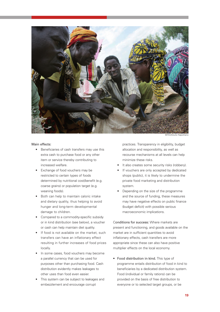

#### Main effects:

- Beneficiaries of cash transfers may use this extra cash to purchase food or any other item or service thereby contributing to increased welfare.
- Exchange of food vouchers may be restricted to certain types of foods determined by nutritional cost/benefit (e.g. coarse grains) or population target (e.g. weaning foods).
- Both can help to maintain caloric intake and dietary quality, thus helping to avoid hunger and long-term developmental damage to children.
- Compared to a commodity-specific subsidy or in kind distribution (see below), a voucher or cash can help maintain diet quality.
- If food is not available on the market, such transfers can have an inflationary effect resulting in further increases of food prices locally.
- In some cases, food vouchers may become a parallel currency that can be used for purposes other than purchasing food. Cash distribution evidently makes leakages to other uses than food even easier.
- This system can be subject to leakages and embezzlement and encourage corrupt

practices. Transparency in eligibility, budget allocation and responsibility, as well as recourse mechanisms at all levels can help minimize these risks.

- It also creates some security risks (robbery).
- If vouchers are only accepted by dedicated shops (public), it is likely to undermine the private food marketing and distribution system.
- Depending on the size of the programme and the source of funding, these measures may have negative effects on public finance (budget deficit) with possible serious macroeconomic implications.

Conditions for success: Where markets are present and functioning, and goods available on the market are in sufficient quantities to avoid inflationary effects, cash transfers are more appropriate since these can also have positive multiplier effects on the local economy.

• Food distribution in kind. This type of programme entails distribution of food in kind to beneficiaries by a dedicated distribution system. Food (individual or family rations) can be provided on the basis of free distribution to everyone or to selected target groups, or be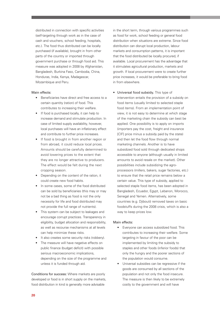distributed in connection with specific activities (self-targeting through work as in the case of cash and vouchers, school feeding, hospitals, etc.). The food thus distributed can be locally purchased (if available), brought in from other parts of the country or imported through government purchase or through food aid. This measure was adopted in 2008 by Afghanistan, Bangladesh, Burkina Faso, Cambodia, China, Honduras, India, Kenya, Madagascar, Mozambique and Peru.

#### Main effects:

- Beneficiaries have direct and free access to a certain quantity (ration) of food. This contributes to increasing their welfare.
- If food is purchased locally, it can help to increase demand and stimulate production. In case of limited supply availability, however, local purchases will have an inflationary effect and contribute to further price increases.
- If food is brought in from another region or from abroad, it could reduce local prices. Amounts should be carefully determined to avoid lowering prices to the extent that they are no longer attractive to producers. The effect would be felt during the next cropping season.
- Depending on the content of the ration, it could create new food habits.
- In some cases, some of the food distributed can be sold by beneficiaries (this may or may not be a bad thing as food is not the only necessity for life and food distributed may not provide the full range of nutrients).
- This system can be subject to leakages and encourage corrupt practices. Transparency in eligibility, budget allocation and responsibility, as well as recourse mechanisms at all levels can help minimize these risks.
- It also creates some security risks (robbery).
- The measure will have negative effects on public finance (budget deficit) with possible serious macroeconomic implications, depending on the size of the programme and unless it is funded through aid.

Conditions for success: Where markets are poorly developed or food is in short supply on the markets, food distribution in kind is generally more advisable

in the short term, through various programmes such as food for work, school feeding or general food distribution when situations are extreme. Since food distribution can disrupt local production, labour markets and consumption patterns, it is important that the food distributed be locally procured, if available. Local procurement has the advantage that it stimulates agricultural production, markets and growth. If local procurement were to create further price increases, it would be preferable to bring food in from elsewhere.

• Universal food subsidy. This type of intervention entails the provision of a subsidy on food items (usually limited to selected staple food items). From an implementation point of view, it is not easy to determine at which stage of the marketing chain the subsidy can best be applied. One possibility is to apply on imports (importers pay the cost, freight and insurance [CIF] price minus a subsidy paid by the state) and then let the food flow through normal marketing channels. Another is to have subsidized food sold through dedicated shops accessible to anyone (although usually in limited amounts to avoid resale on the market). Other possibilities include subsidizing the agroprocessors (millers, bakers, sugar factories, etc.) to ensure that the retail price remains below a certain value. This type of subsidy, applied to selected staple food items, has been adopted in Bangladesh, Ecuador, Egypt, Lebanon, Morocco, Senegal and Yemen. Alternatively, some countries (e.g. Djibouti) removed taxes on basic foodstuffs during the 2008 crisis, which is also a way to keep prices low.

#### Main effects:

- Everyone can access subsidized food. This contributes to increasing their welfare. Some targeting in favour of the poor can be implemented by limiting the subsidy to staples and other foods (inferior foods) that only the hungry and the poorer sections of the population would consume.
- Universal subsidies can be regressive if the goods are consumed by all sections of the population and not only the food insecure. The measure is then likely to be extremely costly to the government and will have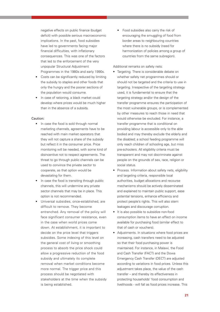negative effects on public finance (budget deficit) with possible serious macroeconomic implications. In the past, food subsidies have led to governments facing major financial difficulties, with inflationary consequences. This was one of the factors that led to the enforcement of the very unpopular Structural Adjustment Programmes in the 1980s and early 1990s.

- Costs can be significantly reduced by limiting the subsidy to staples and other foods that only the hungry and the poorer sections of the population would consume.
- In case of rationing, a black market could develop where prices would be much higher than in the absence of a subsidy.

#### Caution:

- In case the food is sold through normal marketing channels, agreements have to be reached with main market operators that they will not capture a share of the subsidy but reflect it in the consumer price. Price monitoring will be needed, with some kind of disincentive not to respect agreements. The threat to go through public channels can be used to convince the private sector to cooperate, as that option would be devastating for them.
- In case the food is transiting through public channels, this will undermine any private sector channels that may be in place. This option is not recommended.
- Universal subsidies, once-established, are difficult to remove. They become entrenched. Any removal of the policy will face significant consumer resistance, even in the case when world prices come down. At establishment, it is important to decide on the price level that triggers subsidies. Some indexing of this level on the general cost of living or smoothing process to absorb the price shock could allow a progressive reduction of the food subsidy and ultimately its complete removal when market conditions become more normal. The trigger price and this process should be negotiated with stakeholders at the time when the subsidy is being established.

• Food subsidies also carry the risk of encouraging the smuggling of food from border areas to neighbouring countries where there is no subsidy (need for harmonization of policies among a group of countries from the same subregion).

Additional remarks on safety nets:

- Targeting. There is considerable debate on whether safety net programmes should or should not be targeted and the criteria to use in targeting. Irrespective of the targeting strategy used, it is fundamental to ensure that the targeting strategy and/or the design of the transfer programme ensures the participation of the most vulnerable groups, or is complemented by other measures to reach those in need that would otherwise be excluded. For instance, a transfer programme that is conditional on providing labour is accessible only to the able bodied and may thereby exclude the elderly and the disabled; a school feeding programme will only reach children of schooling age, but miss pre-schoolers. All eligibility criteria must be transparent and may not discriminate against people on the grounds of sex, race, religion or social status.
- Process. Information about safety nets, eligibility and targeting criteria, responsible local authorities, budget allocations and recourse mechanisms should be actively disseminated and explained to maintain public support, ease potential tensions, enhance efficiency and protect people's rights. This will also stem leakages and discourage corruption.
- It is also possible to subsidize non-food consumption items to have an effect on income available for purchasing food (similar effect to that of cash or vouchers).
- Adjustments. In situations where food prices are increasing, cash transfers need to be adjusted so that their food purchasing power is maintained. For instance, in Malawi, the Food and Cash Transfer (FACT) and the Dowa Emergency Cash Transfer (DECT) are adjusted according to variations in food prices. Unless this adjustment takes place, the value of the cash transfer – and thereby its effectiveness in protecting households' food consumption and livelihoods - will fall as food prices increase. This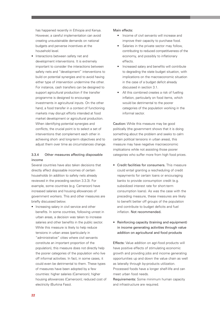has happened recently in Ethiopia and Kenya. However, a careful implementation can avoid creating unsustainable demands on national budgets and perverse incentives at the household level.

• Interactions between safety net and development interventions. It is extremely important to consider the interactions between safety nets and "development" interventions to build on potential synergies and to avoid having either type of intervention undermine the other. For instance, cash transfers can be designed to support agricultural production if the transfer programme is designed to encourage investments in agricultural inputs. On the other hand, a food transfer in a context of functioning markets may disrupt efforts intended at food market development or agricultural production. When identifying potential synergies and conflicts, the crucial point is to select a set of interventions that complement each other in achieving short- and long-term objectives and to adjust them over time as circumstances change.

# 3.3.4 Other measures affecting disposable income

Several countries have also taken decisions that directly affect disposable incomes of certain households (in addition to safety nets already reviewed in the preceding section 3.3.3). For example, some countries (e.g. Cameroon) have increased salaries and housing allowances of government workers. This and other measures are briefly discussed below.

• Increasing salary in civil service and other benefits. In some countries, following unrest in urban areas, a decision was taken to increase salaries and other benefits in the public sector. While this measure is likely to help reduce tensions in urban areas (particularly in "administrative" cities where civil servants constitute an important proportion of the population), this measure does not directly help the poorer categories of the population who live off informal activities. In fact, in some cases, it could even be detrimental to them. These types of measures have been adopted by a few countries: higher salaries (Cameroon); higher housing allowances (Cameroon); reduced cost of electricity (Burkina Faso).

### Main effects:

- Income of civil servants will increase and improve their capacity to purchase food.
- Salaries in the private sector may follow, contributing to reduced competitiveness of the economy, and possibly to inflationary effects.
- Increased salary and benefits will contribute to degrading the state budget situation, with implications on the macroeconomic situation in the case of a budget deficit already discussed in section 3.1.
- All this combined creates a risk of fuelling inflation, particularly on food items, which would be detrimental to the poorer categories of the population working in the informal sector.

Caution: While this measure may be good politically (the government shows that it is doing something about the problem and seeks to calm certain political tensions in urban areas), this measure may have negative macroeconomic implications while not assisting those poorer categories who suffer more from high food prices.

- Credit facilities for consumers. This measure could entail granting a rescheduling of credit repayments for certain loans or encouraging banks to provide consumption credit (e.g. subsidized interest rate for short-term consumption loans). As was the case with the preceding measure, these measures are likely to benefit better off groups of the population and contribute to budget deficits and fuel inflation. Not recommended.
- Reinforcing capacity (training and equipment) in income generating activities through value addition on agricultural and food products

Effects: Value addition on agri-food products will have positive effects of stimulating economic growth and providing jobs and income generating opportunities up and down the value chain as well as laterally through by-products utilization. Processed foods have a longer shelf-life and can meet urban food needs.

Requirements: Some minimum human capacity and infrastructure are required.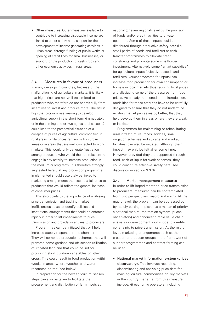• Other measures. Other measures available to contribute to increasing disposable income are linked to either safety nets, support for the development of income-generating activities in urban areas (through funding of public works or opening of credit lines for small businesses) or support for the production of cash crops and other economic activities in rural areas.

## 3.4 Measures in favour of producers

In many developing countries, because of the malfunctioning of agricultural markets, it is likely that high prices are not well transmitted to producers who therefore do not benefit fully from incentives to invest and produce more. The risk is high that programmes seeking to develop agricultural supply in the short term (immediately or in the coming one or two agricultural seasons) could lead to the paradoxical situation of a collapse of prices of agricultural commodities in rural areas, while prices remain high in urban areas or in areas that are well connected to world markets. This would only generate frustration among producers who would then be reluctant to engage in any activity to increase production in the medium or long term. It is therefore strongly suggested here that any production programme implemented should absolutely be linked to marketing arrangements that secure a fair price to producers that would reflect the general increase of consumer prices.

This also points to the importance of analysing price transmission and tracking market inefficiencies so as to identify policies and institutional arrangements that could be enforced rapidly in order to lift impediments to price transmission and provide incentives to producers.

Programmes can be initiated that will help increase supply response in the short term. They will comprise production schemes that will promote home gardens and off-season utilization of irrigated land and that could be set for producing short duration vegetables or other crops. This could result in food production within weeks in areas where weather and water resources permit (see below).

In preparation for the next agricultural season, steps can also be taken to facilitate the procurement and distribution of farm inputs at

national (or even regional) level by the provision of funds and/or credit facilities to private operators. Some of these inputs could be distributed through productive safety nets (i.e. small packs of seeds and fertilizer) or cash transfer programmes to alleviate credit constraints and promote some smallholder investment. Alternatively some "smart subsidies" for agricultural inputs (subsidized seeds and fertilizers, voucher systems for inputs) can increase food production for own consumption or for sale in local markets thus reducing local prices and alleviating some of the pressures from food prices. As already mentioned in the introduction, modalities for these activities have to be carefully designed to ensure that they do not undermine existing market processes or, better, that they help develop them in areas where they are weak or inexistent.

Programmes for maintaining or rehabilitating rural infrastructure (roads, bridges, small irrigation schemes and storage and market facilities) can also be initiated, although their impact may only be felt after some time. However, provided they are supported through food, cash or input for work schemes, they could constitute effective safety nets (see discussion in section 3.3.3).

#### 3.4.1 Market management measures

In order to lift impediments to price transmission to producers, measures can be contemplated from two perspectives: macro and micro. At the macro level, the problem can be addressed by by rapidly putting in place, as a matter of priority, a national market information system (prices observatory) and conducting rapid value chain analysis or development workshops to identify constraints to price transmission. At the micro level, marketing arrangements such as the creation of producer groups in the framework of support programmes and contract farming can be used.

• National market information system (prices observatory). This involves recording, disseminating and analysing price data for main agricultural commodities on key markets in the country. Benefits from this measure include: (i) economic operators, including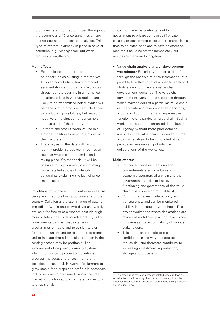producers, are informed of prices throughout the country; and (ii) price transmission and market segmentation can be analysed. This type of system is already in place in several countries (e.g. Madagascar), but often requires strengthening.

### Main effects:

- Economic operators are better informed on opportunities existing in the market. This can contribute to limiting market segmentation, and thus transmit prices throughout the country. In a high price situation, prices in various regions are likely to be transmitted better, which will be beneficial to producers and alert them to production possibilities, but impact negatively the situation of consumers in surplus parts of the country.
- Farmers and small traders will be in a stronger position to negotiate prices with their partners.
- The analysis of the data will help to identify problem areas (commodities or regions) where price transmission is not taking place. On that basis, it will be possible to fix priorities for conducting more detailed studies to identify constraints explaining the lack of price transmission.

Condition for success: Sufficient resources are being mobilized to allow good coverage of the country. Collation and dissemination of data is immediate (within one or two days) and widely available for free or at a modest cost (through radio or telephone). A favourable activity is for governments to broadcast extension programmes on radio and television to alert farmers to current and forecasted price trends and to indicate that additional production in the coming season may be profitable. The involvement of crop early warning systems, which monitor crop production, plantings, progress, harvests and prices in different localities, is essential. However, for farmers to grow staple food crops at a profit it is necessary that governments continue to allow the free market to function so that farmers can respond to price signals.

Caution: May be contracted out by government to private companies (if private capacity exists) to keep costs under control. Takes time to be established and to have an effect on markets. Should be started immediately but results are medium- to long-term.

• Value chain analysis and/or development workshops. <sup>4</sup> For priority problems identified through the analysis of price information, it is possible to either conduct a specific analytical study and/or to organize a value chain development workshop. The value chain development workshop is a process through which stakeholders of a particular value chain can negotiate and take concerted decisions, actions and commitments to improve the functioning of a particular value chain. Such a workshop can be implemented, in a situation of urgency, without more prior detailed analysis of the value chain. However, if time allows an analysis to be conducted, it can provide an invaluable input into the deliberations of the workshop.

## Main effects:

- Concerted decisions, actions and commitments are made by various economic operators of a chain and the government in order to improve the functioning and governance of the value chain and to develop mutual trust.
- Commitments are made publicly and transparently, and can be monitored publicly in subsequent workshops. This avoids workshops where declarations are made but no follow-up action takes place. It increases the accountability of various stakeholders.
- This approach can help to create confidence in the way markets operate, reduce risk and therefore contribute to increasing investment in production, storage and processing.

<sup>4</sup> This measure is more of a process-related measure than an actual action to address high food prices. However, it has the potential to constitute an essential element in achieving success on the supply side.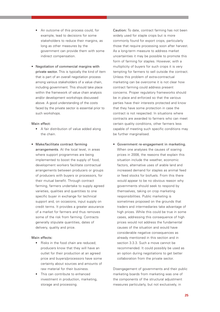- An outcome of this process could, for example, lead to decisions for some stakeholders to reduce their margins, as long as other measures by the government can provide them with some indirect compensation.
- Negotiation of commercial margins with private sector. This is typically the kind of item that is part of an overall negotiation process among various stakeholders of a value chain, including government. This should take place within the framework of value chain analysis and/or development workshops discussed above. A good understanding of the costs faced by the private sector is essential prior to such workshops.

#### Main effect:

- A fair distribution of value added along the chain.
- Make/facilitate contract farming arrangements. At the local level, in areas where support programmes are being implemented to boost the supply of food, development workers facilitate contractual arrangements between producers or groups of producers with buyers or processors, for their mutual benefit. Through contract farming, farmers undertake to supply agreed varieties, qualities and quantities to one specific buyer in exchange for technical support and, on occasions, input supply on credit terms. It provides a greater assurance of a market for farmers and thus removes some of the risk from farming. Contracts generally stipulate quantities, dates of delivery, quality and price.

# Main effects:

- Risks in the food chain are reduced; producers know that they will have an outlet for their production at an agreed price and buyers/processors have some certainty about sources and amounts of raw material for their business.
- This can contribute to enhanced investment in production, marketing, storage and processing.

Caution: To date, contract farming has not been widely used for staple crops but is more commonly found for export crops, particularly those that require processing soon after harvest. As a long-term measure to address market uncertainties it may be possible to promote this form of farming for staples. However, with a multiplicity of buyers for such crops it is very tempting for farmers to sell outside the contract. Unless this problem of extra-contractual marketing can be overcome it is not clear how contract farming could address present concerns. Proper regulatory frameworks should be in place and enforced so that the various parties have their interests protected and know that they have some protection in case the contract is not respected. In situations where contracts are awarded to farmers who can meet certain quality conditions, other farmers less capable of meeting such specific conditions may be further marginalised.

• Government re-engagement in marketing. When one analyses the causes of soaring prices in 2008, the reasons that explain this situation include the weather, economic factors, alternative uses of arable land and increased demand for staples as animal feed or feed stocks for biofuels. From this there would appear to be no obvious reason why governments should seek to respond by themselves, taking on crop marketing responsibilities. Public marketing is sometimes proposed on the grounds that traders and intermediaries take advantage of high prices. While this could be true in some cases, addressing this consequence of high prices would not address the fundamental causes of the situation and would have considerable negative consequences as already mentioned in this section and in section 3.3.3. Such a move cannot be recommended. It could possibly be used as an option during negotiations to get better collaboration from the private sector.

Disengagement of governments and their public marketing boards from marketing was one of the components of the structural adjustment measures particularly, but not exclusively, in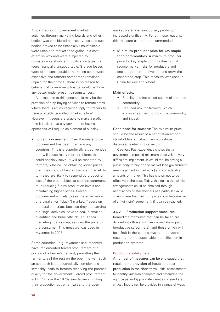Africa. Reducing government marketing activities through marketing boards and other bodies was considered necessary because such bodies proved to be financially unsustainable, were unable to market food grains in a costeffective way and were subjected to unsustainable short-term political dictates that were financially unsupportable. Storage losses were often considerable, marketing costs were excessive and farmers sometimes remained unpaid for their crops. There is no reason to believe that government boards would perform any better under present circumstances.

An exception to this general rule may be the provision of crop buying services to remote areas where there is an insufficient supply for traders to trade profitably (so-called "market failure"). However, if traders are unable to make a profit then it is clear that any government buying operations will require an element of subsidy.

• Forced procurement. Over the years forced procurement has been tried in many countries. This is a superficially attractive idea that will cause many more problems than it could possibly solve. It will be resented by farmers, who will be obtaining lower prices than they could obtain on the open market. In turn they are likely to respond by producing less of the crop subject to such procurement, thus reducing future production levels and maintaining higher prices. Forced procurement is likely to see the emergence of a parallel (or "black") market. Traders on the parallel market, because they are carrying out illegal activities, have to deal in smaller quantities and bribe officials. Thus their marketing costs go up, as does the price to the consumer. This measure was used in Myanmar in 2008.

Some countries, (e.g. Myanmar until recently), have implemented forced procurement of a portion of a farmer's harvest, permitting the farmer to sell the rest on the open market. Such an approach is bureaucratically complex and invariably leads to farmers reserving the poorest quality for the government. Forced procurement in PR China in the 1970s saw farmers limiting their production but when sales to the open

market were later sanctioned, production increased significantly. For all these reasons, this measure cannot be recommended.

• Minimum producer price for key staple food commodities. A minimum producer price for key staple commodities would reduce market risks for producers and encourage them to invest in and grow the concerned crop. This measure was used in China for rice and wheat.

#### Main effects:

- Stability and increased supply of the food commodity;
- Reduced risk for farmers, which encourages them to grow the commodity and invest.

Conditions for success: The minimum price should be the result of a negotiation among stakeholders at value chain workshops discussed earlier in this section.

Caution: Past experience shows that a government-imposed minimum price will be very difficult to implement. It would require having a public body to buy on the market (see government re-engagement in marketing) and considerable amounts of money. This has shown not to be effective in the past. Today, the idea is that similar arrangements could be obtained through negotiations of stakeholders of a particular value chain where the minimum price could become part of a "win-win" agreement, if it can be reached.

#### 3.4.2 Production support measures

Immediate measures that can be taken are divided into those with an immediate impact (productive safety nets), and those which will bear fruit in the coming two to three years resulting from a sustainable intensification in production systems.

#### Productive safety nets

A number of measures can be envisaged that result in the provision of inputs to boost production in the short term. Initial assessments to identify vulnerable farmers and determine the right crops and appropriate varieties of seed are critical. Inputs can be provided in a range of ways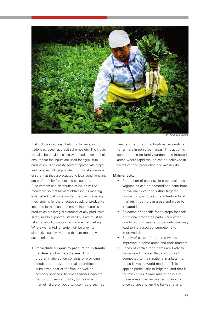

that include direct distribution to farmers, input trade fairs, voucher, credit schemes etc. The inputs can also be provided along with food rations to help ensure that the inputs are used for agricultural production. High quality seed of appropriate crops and varieties will be provided from local sources to ensure that they are adapted to local conditions and are preferred by farmers and consumers. Procurement and distribution of inputs will be monitored so that farmers obtain inputs meeting established quality standards. The use of existing mechanisms for the effective supply of productive inputs to farmers and the marketing of surplus production are integral elements of any productive safety net to support sustainability. Care must be taken to avoid disruption of commercial markets. Where warranted, attention will be given to alternative supply systems that are more private sector-oriented.

• Immediate support to production in family gardens and irrigated areas. This programmatic action consists of providing seeds and fertilizer in small quantities at a subsidized cost or for free, as well as advisory services, to small farmers who are net food buyers and who, for reasons of market failure or poverty, use inputs such as

seed and fertilizer in suboptimal amounts, and to farmers in peri-urban areas. This action is concentrating on family gardens and irrigated areas where rapid results can be achieved in terms of food production and availability.

## Main effects:

- Production of short cycle crops including vegetables can be boosted and contribute to availability of food within targeted households, and to some extent on local markets in peri-urban areas and close to irrigated land.
- Selection of specific foods crops for their nutritional properties particularly when combined with education on nutrition, may lead to increased consumption and improved diets.
- Supply of certain food items will be improved in some areas and their markets.
- Prices of certain food items are likely to be reduced in areas that are not well connected to main national markets (i.e. those linked to world markets). This applies particularly to irrigated land that is far from cities. Some marketing out of these areas may be needed to avoid a price collapse when the harvest starts.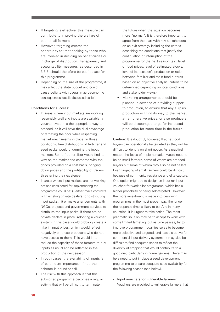- If targeting is effective, this measure can contribute to improving the welfare of poor small farmers.
- However, targeting creates the opportunity for rent seeking by those who are involved in deciding on beneficiaries or in charge of distribution. Transparency and accountability measures, as described in 3.3.3, should therefore be put in place for this programme.
- Depending on the size of the programme, it may affect the state budget and could cause deficits with overall macroeconomic consequences (details discussed earlier).

#### Conditions for success:

- In areas where input markets are working reasonably well and inputs are available, a voucher system is the appropriate way to proceed, as it will have the dual advantage of targeting the poor while respecting market mechanisms in place. In those conditions, free distributions of fertilizer and seed packs would undermine the input markets. Some free fertilizer would find its way on the market and compete with the goods provided on a cost basis, bringing down prices and the profitability of traders, threatening their existence.
- In areas where input markets are not working, options considered for implementing the programme could be: (i) either make contracts with existing private dealers for distributing input packs; (ii) or make arrangements with NGOs, projects and government services to distribute the input packs, if there are no private dealers in place. Adopting a voucher system in this case would probably create a hike in input prices, which would reflect negatively on those producers who do not have access to them. This would in turn reduce the capacity of these farmers to buy inputs as usual and be reflected in the production of the next season.
- In both cases, the availability of inputs is of paramount importance; if not, the scheme is bound to fail.
- The risk with this approach is that this subsidized programme becomes a regular activity that will be difficult to terminate in

the future when the situation becomes more "normal". It is therefore important to agree from the start with key stakeholders on an exit strategy including the criteria describing the conditions that justify the continuation or interruption of the programme for the next season (e.g. level of food prices, level of estimated stocks, level of last season's production or ratio between fertilizer and main food outputs based on an objective analysis, criteria to be determined depending on local conditions and stakeholder views).

• Marketing arrangements should be planned in advance of providing support to production, to ensure that any surplus production will find its way to the market at remunerative prices, or else producers will be discouraged to go for increased production for some time in the future.

Caution: It is doubtful, however, that net food buyers can operationally be targeted as they will be difficult to identify on short notice. As a practical matter, the focus of implementation would need to be on small farmers, some of whom are net food buyers but some of whom may also be net sellers. Even targeting of small farmers could be difficult because of community resistance and elite capture. One option might be to design an input (or input voucher) for work pilot programme, which has a higher probability of being self-targeted. However, the more investment is made into designing programmes in the most proper way, the longer the response time is likely to be. And in many countries, it is urgent to take action. The most pragmatic solution may be to accept to work with some limited targeting, but as time passes, try to improve programme modalities so as to become more selective and targeted, and less disruptive for commercial input delivery systems. It may also be difficult to find adequate seeds to reflect the diversity of cropping that would contribute to a good diet, particularly in home gardens. There may be a need to put in place a seed development programme to ensure adequate seed availability for the following season (see below).

• Input vouchers for vulnerable farmers: Vouchers are provided to vulnerable farmers that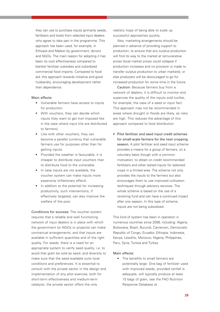they can use to purchase inputs (primarily seeds, fertilizers and tools) from selected input dealers who agree to take part in the programme. This approach has been used, for example, in Ethiopia and Malawi by government, donors and NGOs. The main reason for adopting it has been its cost effectiveness compared to blanket fertilizer subsidies and subsidized commercial food imports. Compared to food aid, this approach rewards initiative and good husbandry, encouraging development rather than dependence.

#### Main effects:

- Vulnerable farmers have access to inputs for production.
- With vouchers, they can decide which inputs they want to get (not imposed like in the case where input kits are distributed to farmers).
- Like with other vouchers, they can become a parallel currency that vulnerable farmers use for purposes other than for getting inputs.
- Provided the weather is favourable, it is cheaper to distribute input vouchers than to distribute food to the vulnerable.
- In case inputs are not available, the voucher system can make inputs more expensive (inflationary effect).
- In addition to the potential for increasing productivity, such interventions, if effectively targeted, can also improve the welfare of the poor.

Conditions for success: The voucher system requires that a reliable and well functioning network of input dealers is in place with which the government (or NGOs or projects) can make contractual arrangements, and that inputs are available in sufficient quantities and of the right quality. For seeds, there is a need for an appropriate system to verify seed quality, i.e. to avoid that grain be sold as seed, and diversity to make sure that the seed available suits local conditions and preferences. It is essential to consult with the private sector in the design and implementation of any pilot exercise, both for short-term effectiveness and medium-term catalysis: the private sector offers the only

realistic hope of being able to scale up successful approaches quickly.

Also, marketing arrangements should be planned in advance of providing support to production, to ensure that any surplus production will find its way to the market at remunerative prices (local market prices could collapse if production increases and no provision is made to transfer surplus production to urban markets), or else producers will be discouraged to go for increased production for some time in the future.

Caution: Because farmers buy from a network of dealers, it is difficult to monitor and supervise the quality of the inputs sold (unlike, for example, the case of a seed or input fair). This approach may not be recommended in areas where drought or floods are likely, as risks are high. This reduces the advantage of this approach compared to food distribution.

• Pilot fertilizer and seed input credit schemes for small-scale farmers for the next cropping season. A pilot fertilizer and seed input scheme provides a means for a group of farmers, on a voluntary basis though with a common motivation, to obtain on credit recommended fertilizers and other tested inputs for selected crops in a limited area. The scheme not only provides the inputs to the farmers but also encourages them to use improved cultivation techniques through advisory services. The whole scheme is based on the use of a revolving fund and can have a continued impact after one season. In this type of scheme, inputs are not being subsidized.

This kind of system has been in operation in numerous countries since 2008, including: Algeria, Botswana, Brazil, Burundi, Cameroon, Democratic Republic of Congo, Ecuador, Ethiopia, Indonesia, Kenya, Lesotho, Morocco, Nigeria, Philippines, Peru, Syria, Tunisia and Turkey.

#### Main effects:

• The benefits to small farmers are potentially large. One bag of fertilizer used with improved seeds, provided rainfall is adequate, will typically produce at least 15 bags of grain, see the FAO Nutrition Response Database at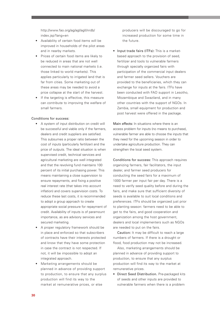http://www.fao.org/ag/agl/agll/nrdb/ index.jsp?lang=en

- Availability of certain food items will be improved in households of the pilot areas and in nearby markets.
- Prices of certain food items are likely to be reduced in areas that are not well connected to main national markets (i.e. those linked to world markets). This applies particularly to irrigated land that is far from cities. Some marketing out of these areas may be needed to avoid a price collapse at the start of the harvest.
- If the targeting is effective, this measure can contribute to improving the welfare of small farmers.

#### Conditions for success:

- A system of input distribution on credit will be successful and viable only if the farmers, dealers and credit suppliers are satisfied. This subsumes a proper ratio between the cost of inputs (particularly fertilizer) and the price of outputs. The ideal situation is when supervised credit, technical services and agricultural marketing are well integrated and that the revolving fund maintains 100 percent of its initial purchasing power. This means maintaining a close supervision to ensure repayments, and fixing a positive real interest rate (that takes into account inflation) and covers supervision costs. To reduce these last costs, it is recommended to adopt a group approach to create appropriate social pressure for repayment of credit. Availability of inputs is of paramount importance, as are advisory services and secured marketing.
- A proper regulatory framework should be in place and enforced so that subscribers of contracts have their interests protected and know that they have some protection in case the contract is not respected. If not, it will be impossible to adopt an integrated approach.
- Marketing arrangements should be planned in advance of providing support to production, to ensure that any surplus production will find its way to the market at remunerative prices, or else

producers will be discouraged to go for increased production for some time in the future.

• Input trade fairs (ITFs): This is a marketbased approach to the provision of seed, fertilizer and tools to vulnerable farmers through specially organized fairs with participation of the commercial input dealers and farmer seed sellers. Vouchers are provided to the beneficiaries, which they can exchange for inputs at the fairs. ITFs have been conducted with FAO support in Lesotho, Mozambique and Swaziland, and in many other countries with the support of NGOs. In Zambia, small equipment for production and post harvest were offered in the package.

Main effects: In situations where there is an access problem for inputs (no means to purchase), vulnerable farmer are able to choose the inputs that they need for the upcoming season in order to undertake agriculture production. They can strengthen the local seed system.

Conditions for success: This approach requires organizing farmers, fair facilitators, the input dealer, and farmer seed producers for conducting the seed fairs for a maximum of 1000 farmer per input fair per day. There is a need to verify seed quality before and during the fairs, and make sure that sufficient diversity of seeds is available to suit local conditions and preferences. ITFs should be organized just prior to planting season: farmers need to be able to get to the fairs, and good cooperation and organization among the host government, dealers and local implementers such as NGOs are needed to put on the fairs.

Caution: It may be difficult to reach a large numbers of farmers. If there is a drought or flood, food production may not be increased.

Also, marketing arrangements should be planned in advance of providing support to production, to ensure that any surplus production will find its way to the market at remunerative prices.

• Direct Seed Distribution. Pre-packaged kits of seeds and other inputs are provided to vulnerable farmers when there is a problem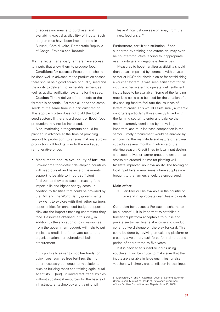of access (no means to purchase) and availability (spatial availability) of inputs. Such programmes have been implemented in Burundi, Côte d'Ivoire, Democratic Republic of Congo, Ethiopia and Tanzania.

Main effects: Beneficiary farmers have access to inputs that allow them to produce food.

Conditions for success: Procurement should be done well in advance of the production season; there should be a good source of quality seed and the ability to deliver it to vulnerable farmers, as well as quality verification systems for the seed.

Caution: Timely deliver of the seeds to the farmers is essential. Farmers all need the same seeds at the same time in a particular region. This approach often does not build the local seed system. If there is a drought or flood, food production may not be increased.

Also, marketing arrangements should be planned in advance at the time of providing support to production, to ensure that any surplus production will find its way to the market at remunerative prices

• Measures to ensure availability of fertilizer. Low-income food-deficit developing countries will need budget and balance of payments support to be able to import sufficient fertilizer, as they also face increasing food import bills and higher energy costs. In addition to facilities that could be provided by the IMF and the World Bank, governments may want to explore with their other partners opportunities for enhanced budget support to alleviate the import financing constraints they face. Resources obtained in this way, in addition to the allocation of own resources from the government budget, will help to put in place a credit line for private sector and organize national or subregional bulk procurement.

"It is politically easier to mobilize funds for quick fixes, such as free fertilizer, than for other necessary but longer-term solutions, such as building roads and training agricultural scientists.… [but], unlimited fertilizer subsidies without substantial resources for the basics of infrastructure, technology and training will

leave Africa just one season away from the next food crisis."5

Furthermore, fertilizer distribution, if not supported by training and extension, may even be counterproductive leading to inappropriate use, wastage and negative externalities.

Measures to boost fertilizer availability should then be accompanied by contracts with private sector or NGOs for distribution or for establishing a voucher system (it was seen earlier that for an input voucher system to operate well, sufficient inputs have to be available). Some of the funding mobilized could also be used for the creation of a risk-sharing fund to facilitate the issuance of letters of credit. This would assist small, authentic importers (particularly those directly linked with the farming sector) to enter and balance the market currently dominated by a few large importers, and thus increase competition in the sector. Timely procurement would be enabled by announcing the magnitude and nature of fertilizer subsidies several months in advance of the planting season. Credit lines to local input dealers and cooperatives or farmer groups to ensure that stocks are ordered in time for planting will facilitate improved input availability. The holding of local input fairs in rural areas where supplies are brought to the farmers should be encouraged.

#### Main effect:

• Fertilizer will be available in the country on time and in appropriate quantities and quality.

Condition for success: For such a scheme to be successful, it is important to establish a functional platform acceptable to public and private sector fertilizer stakeholders to conduct constructive dialogue on the way forward. This could be done by reviving an existing platform or creating a voluntary task force for a time bound period of about three to five years.

If it is decided to subsidize inputs using vouchers, it will be critical to make sure that the inputs are available in large quantities, or else vouchers will simply create inflation in local input

<sup>5</sup> McPherson, P., and R. Rabbinge. 2006. Statement at African Union Special Summit of Heads of State and Government, African Fertilizer Summit, Abuja, Nigeria, June 13, 2006.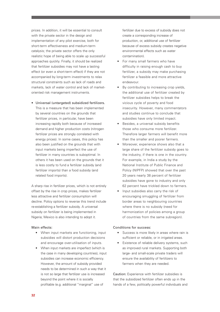prices. In addition, it will be essential to consult with the private sector in the design and implementation of any pilot exercise, both for short-term effectiveness and medium-term catalysis; the private sector offers the only realistic hope of being able to scale up successful approaches quickly. Finally, it should be realized that fertilizer subsidies may not have a lasting effect (or even a short-term effect) if they are not accompanied by long-term investments to relax structural constraints such as lack of roads and markets, lack of water control and lack of marketoriented risk management instruments.

• Universal (untargeted) subsidized fertilizers. This is a measure that has been implemented by several countries on the grounds that fertilizer prices, in particular, have been increasing rapidly both because of increased demand and higher production costs (nitrogen fertilizer prices are strongly correlated with energy prices). In some cases, this policy has also been justified on the grounds that with input markets being imperfect the use of fertilizer in many countries is suboptimal. In others it has been used on the grounds that it is less costly to fund a fertilizer subsidy (and fertilizer imports) than a food subsidy (and related food imports).

A sharp rise in fertilizer prices, which is not entirely offset by the rise in crop prices, makes fertilizer less attractive and fertilizer consumption will decline. Policy options to reverse this trend include re-establishing a fertilizer subsidy. A universal subsidy on fertilizer is being implemented in Nigeria; Mexico is also intending to adopt it.

## Main effects:

- When input markets are functioning, input subsidies will distort production decisions and encourage over-utilisation of inputs.
- When input markets are imperfect (which is the case in many developing countries), input subsidies can increase economic efficiency. However, the amount of subsidy provided needs to be determined in such a way that it is not so large that fertilizer use is increased beyond the point where it is socially profitable (e.g. additional "marginal" use of

fertilizer due to excess of subsidy does not create a corresponding increase of production, or, additional use of fertilizer because of excess subsidy creates negative environmental effects such as water contamination).

- For many small farmers who have difficulty in raising enough cash to buy fertilizer, a subsidy may make purchasing fertilizer a feasible and more attractive endeavour.
- By contributing to increasing crop yields, the additional use of fertilizer created by fertilizer subsidies helps to break the vicious cycle of poverty and food insecurity. However, many commentators and studies continue to conclude that subsidies have only limited impact.
- Besides, a universal subsidy benefits those who consume more fertilizer. Therefore larger farmers will benefit more than the smaller and poorer farmers.
- Moreover, experience shows also that a large share of the fertilizer subsidy goes to the industry, if there is one in the country. For example, in India a study by the National Institute of Public Finance and Policy (NIPFP) showed that over the past 20 years nearly 38 percent of fertilizer subsidies have gone to industry and only 62 percent have trickled down to farmers.
- Input subsidies also carry the risk of encouraging smuggling of fertilizer from border areas to neighbouring countries where there is no subsidy (need for harmonization of policies among a group of countries from the same subregion).

## Conditions for success:

- Success is more likely in areas where rain is sufficient or reliable, or in irrigated areas.
- Existence of reliable delivery systems, such as improved rural markets. Supporting both large- and small-scale private traders will ensure the availability of fertilizers to farmers when they are needed.

Caution: Experience with fertilizer subsidies is that the subsidized fertilizer often ends up in the hands of a few, politically powerful individuals and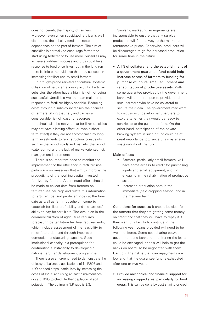does not benefit the majority of farmers. Moreover, even when subsidized fertilizer is well distributed, the subsidy tends to create dependence on the part of farmers. The aim of subsidies is normally to encourage farmers to start using fertilizer or to use more. Subsidies may achieve short-term success and thus could be a response to food price hikes, but in the long run there is little or no evidence that they succeed in increasing fertilizer use by small farmers.

In drought-prone rain-fed agricultural systems, utilisation of fertilizer is a risky activity. Fertilizer subsidies therefore have a high risk of not being successful. Unreliable weather can make crop response to fertilizer highly variable. Reducing costs through a subsidy increases the chances of farmers taking that risk, and carries a considerable risk of wasting resources.

It should also be realized that fertilizer subsidies may not have a lasting effect (or even a shortterm effect) if they are not accompanied by longterm investments to relax structural constraints such as the lack of roads and markets, the lack of water control and the lack of market-oriented risk management instruments.

There is an important need to monitor the improvement of the efficiency in fertilizer use, particularly on measures that aim to improve the productivity of the working capital invested in fertilizer by farmers. A continued effort should be made to collect data from farmers on fertilizer use per crop and relate this information to fertilizer cost and producer prices at the farm gate as well as farm household income to establish fertilizer profitability and the farmers' ability to pay for fertilizers. The evolution in the commercialization of agriculture requires forecasting better future fertilizer requirements, which include assessment of the feasibility to meet future demand through imports or domestic manufacturing capacity. Good institutional capacity is a prerequisite for contributing substantially to developing a national fertilizer development programme

There is also an urgent need to demonstrate the efficacy of balanced applications of N, P2O5 and K2O on food crops, particularly by increasing the doses of P2O5 and using at least a maintenance dose of K2O to check further depletion of soil potassium. The optimum N:P ratio is 2:3.

Similarly, marketing arrangements are indispensable to ensure that any surplus production will find its way to the market at remunerative prices. Otherwise, producers will be discouraged to go for increased production for some time in the future.

• A lift of collateral and the establishment of a government guarantee fund could help increase access of farmers to funding for purchase of inputs, small equipment and rehabilitation of productive assets. With some guarantee provided by the government. banks will be more open to provide credit to small farmers who have no collateral to secure their loan. The government may want to discuss with development partners to explore whether they would be ready to contribute to the guarantee fund. On the other hand, participation of the private banking system in such a fund could be of great importance too, since this may ensure sustainability of the fund.

#### Main effects:

- Farmers, particularly small farmers, will have some access to credit for purchasing inputs and small equipment, and for engaging in the rehabilitation of productive assets.
- Increased production both in the immediate (next cropping season) and in the medium term.

Conditions for success: It should be clear for the farmers that they are getting some money on credit and that they will have to repay it if they want this facility to continue in the following year. Loans provided will need to be well monitored. Some cost sharing between government and banks for monitoring the loans could be envisaged, as this will help to get the banks on board. To be negotiated with them. Caution: The risk is that loan repayments are low and that the guarantee fund is exhausted after one or two years.

• Provide mechanical and financial support for increasing cropped area, particularly for food crops. This can be done by cost sharing or credit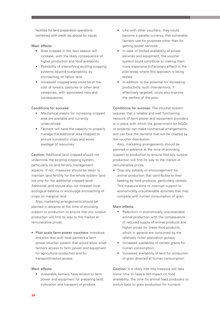facilities for land preparation operations, combined with credit (as above) for inputs.

#### Main effects:

- Area cropped in the next season will increase, with the likely consequence of higher production and food availability.
- Possibility of intensifying existing cropping systems beyond sustainability, by encroaching on fallow land.
- Increased cropped area could be at the cost of forests, pastures or other land categories, with associated risks and consequences.

#### Conditions for success:

- Mechanical means for increasing cropped area are available and currently underutilized.
- Farmers will have the capacity to properly manage the additional area cropped to ensure successful crops and avoid wastage of resources.

Caution: Additional land cropped should not undermine the existing cropping system, particularly its land fertility management aspects. If not, measures should be taken to maintain land fertility for the whole system (and not only for the additional cropped land). Additional land should also not threaten local ecological balance or encourage encroaching of crops on marginal land.

Also, marketing arrangements should be planned in advance at the time of providing support to production to ensure that any surplus production will find its way to the market at remunerative prices.

• Pilot scale farm power vouchers. Introduce and pilot test with local partners a farm power voucher system that would allow small farmers access to farm power and equipment for agricultural production and for transport/market-access.

#### Main effects:

• Vulnerable farmers have access to farm power and equipment for preparing land, cultivation and transport of produce.

- Like with other vouchers, they could become a parallel currency that vulnerable farmers use for purposes other than for getting power services.
- In case of limited availability of power services and equipment, the voucher system could contribute to making them more expensive (inflationary effect) in the pilot areas where this approach is being tested.
- In addition to the potential for increasing productivity, such interventions, if effectively targeted, could also improve the welfare of the poor.

Conditions for success: The voucher system requires that a reliable and well functioning network of farm power and equipment providers is in place with which the government (or NGOs or projects) can make contractual arrangements, and can face the demand that will be created by the voucher distribution.

Also, marketing arrangements should be planned in advance at the time of providing support to production to ensure that any surplus production will find its way to the market at remunerative prices.

• Stop any subsidy or encouragement for animal production that contributes to their feeding by food products, particularly cereals. This measure aims to interrupt support to economically unsustainable activities that may compete with human consumption of grain.

#### Main effects:

- Reduction in economically unsustainable animal production with the consequence of reduced supply of animal products and higher prices for these food products, which in general are consumed by the relatively richer population groups;
- Increased availability of certain grains for human consumption;
- Increased availability of land for production of grain directed at human consumption.

Caution: It is likely that this measure will take some time to have a felt impact on food availability: the time for animal feed producers to switch back to grain production for humans.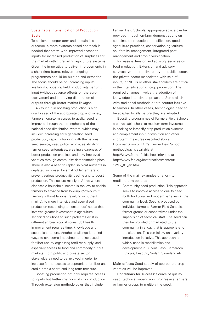# Sustainable Intensification of Production **System**

To achieve a longer-term and sustainable outcome, a more systems-based approach is needed that starts with improved access to inputs for increased production of surpluses for the market within prevailing agriculture systems. Given the imperative to deliver improvements in a short time frame, relevant ongoing programmes should be built on and extended. The focus should be on increasing inputs availability, boosting field productivity per unit input (without adverse effects on the agroecosystem) and improving distribution of outputs through better market linkages.

A key input in boosting production is high quality seed of the appropriate crop and variety. Farmers' long-term access to quality seed is improved through the strengthening of the national seed distribution system, which may include: increasing early generation seed production; capacity building with the national seed service; seed policy reform; establishing farmer seed enterprises; creating awareness of better production practices and new improved varieties through community demonstration plots. There is also a need to replenish plant nutrients in depleted soils used by smallholder farmers to prevent serious productivity decline and to boost production. This occurs mainly in Africa where disposable household income is too low to enable farmers to advance from low-input/low-output farming without fallows (resulting in nutrient mining), to more intensive and specialised production responding to consumers' needs that involves greater investment in agriculture. Technical solutions to such problems exist in different agro-ecological zones. Soil health improvement requires time, knowledge and secure land tenure. Another challenge is to find ways to overcome impediments to increased fertilizer use by organizing fertilizer supply, and especially access to food and commodity output markets. Both public and private sector stakeholders need to be involved in order to increase farmer access to appropriate fertilizer and credit, both a short- and long-term measure.

Boosting production not only requires access to inputs but better methods of crop production. Through extension methodologies that include

Farmer Field Schools, appropriate advice can be provided through on-farm demonstrations on sustainable production intensification, good agriculture practices, conservation agriculture, soil fertility management, integrated pest management and crop diversification.

Increase extension and advisory services on food production. Extension and advisory services, whether delivered by the public sector, the private sector (associated with sale of inputs) or NGOs or other stakeholders are critical in the intensification of crop production. The required changes involve the adoption of knowledge-intensive approaches. Some clash with traditional methods or are counter-intuitive to farmers. In other cases, technologies need to be adapted locally before they are adopted.

Boosting programmes of Farmers Field Schools are a valuable short- to medium-term investment in seeking to intensify crop production systems, and complement input distribution and other short-term measures described above. Documentation of FAO's Farmer Field School methodology is available at http://www.farmerfieldschool.info/ and at http://www.fao.org/bestpractices/content/ 12/12\_01\_en.htm .

Some of the main examples of short- to medium-term options:

• Community seed production: This approach seeks to improve access to quality seed (both traditional and modern varieties) at the community level. Seed is produced by individual farmers, Farmer Field Schools, farmer groups or cooperatives under the supervision of technical staff. The seed can then be provided or marketed to the community in a way that is appropriate to the situation. This can follow on a variety introduction initiative. This approach is widely used in rehabilitation and development in Burkina Faso, Cameroon, Ethiopia, Lesotho, Sudan, Swaziland etc.

Main effects: Seed supply of appropriate crop varieties will be improved.

Conditions for success: Source of quality seed, technical supervision, progressive farmers or farmer groups to multiply the seed.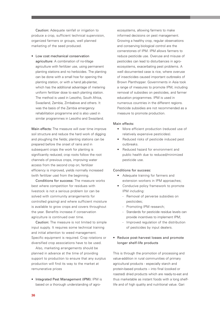Caution: Adequate rainfall or irrigation to produce a crop, sufficient technical supervision, organized farmers or groups, well planned marketing of the seed produced.

• Low cost mechanical conservation agriculture: A combination of no-tillage agriculture with fertilizer use, using permanent planting stations and no herbicides. The planting can be done with a small hoe for opening the planting station, or with a hand jab-planter, which has the additional advantage of metering uniform fertilizer dose to each planting station. The method is used in Lesotho, South Africa, Swaziland, Zambia, Zimbabwe and others. It was the basis of the Zambia emergency rehabilitation programme and is also used in similar programmes in Lesotho and Swaziland.

Main effects: The measure will over time improve soil structure and reduce the hard work of digging and ploughing the fields; planting stations can be prepared before the onset of rains and in subsequent crops the work for planting is significantly reduced; crop roots follow the root channels of previous crops, improving water access from the second crop on; fertilizer efficiency is improved, yields normally increased (with fertilizer use) from the beginning.

Conditions for success: The measure works best where competition for residues with livestock is not a serious problem (or can be solved with community arrangements for controlled grazing) and where sufficient moisture is available to grow crops and covers throughout the year. Benefits increase if conservation agriculture is continued over time.

Caution: The measure is not limited to simple input supply. It requires some technical training and initial attention to weed management. Specific equipment is required. Crop rotations or diversified crop associations have to be used.

Also, marketing arrangements should be planned in advance at the time of providing support to production to ensure that any surplus production will find its way to the market at remunerative prices

• Integrated Pest Management (IPM): IPM is based on a thorough understanding of agroecosystems, allowing farmers to make informed decisions on pest management. Growing a healthy crop, regular observations and conserving biological control are the cornerstones of IPM. IPM allows farmers to reduce pesticide use. Overuse and misuse of pesticides can lead to disturbances in agroecosystems, exacerbating pest problems. A well documented case is rice, where overuse of insecticides caused important outbreaks of Brown Planthopper. Governments in Asia took a range of measures to promote IPM, including removal of subsidies on pesticides, and farmer education programmes. IPM is used in numerous countries in the different regions. Pesticide subsidies are not recommended as a measure to promote production.

#### Main effects:

- More efficient production (reduced use of relatively expensive pesticides).
- Reduced risks of pesticide induced pest outbreaks.
- Reduced hazard for environment and public health due to reduced/minimized pesticide use.

#### Conditions for success:

- Adequate training for farmers and extension workers in IPM approaches;
- Conducive policy framework to promote IPM including:
	- Removal of perverse subsidies on pesticides;
	- Promoting IPM research;
	- Standards for pesticide residue levels can provide incentives to implement IPM;
	- Improved regulation of the distribution of pesticides by input dealers.

# • Reduce post-harvest losses and promote longer shelf-life products

This is through the promotion of processing and value-addition in rural communities of primary agricultural products - especially starch and protein-based products – into final (cooked or roasted) dried products which are ready-to-eat and thus marketable as instant foods with a long shelflife and of high quality and nutritional value. Gari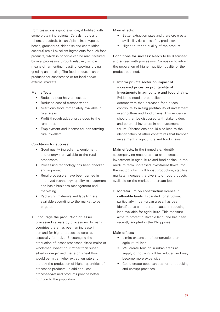from cassava is a good example, if fortified with some protein ingredients. Cereals, roots and tubers, breadfruit, banana/ plantain, cowpeas, beans, groundnuts, dried fish and copra (dried coconut) are all excellent ingredients for such food products, which in principle can be manufactured by rural processors through relatively simple means of fermenting, roasting, cooking, drying, grinding and mixing. The food products can be produced for subsistence or for local and/or external markets.

#### Main effects:

- Reduced post-harvest losses.
- Reduced cost of transportation.
- Nutritious food immediately available in rural areas.
- Profit through added-value goes to the rural poor.
- Employment and income for non-farming rural dwellers.

#### Conditions for success:

- Good quality ingredients, equipment and energy are available to the rural processors.
- Processing technology has been checked and improved.
- Rural processors have been trained in improved technology, quality management and basic business management and marketing.
- Packaging materials and labelling are available according to the market to be targeted.
- Encourage the production of lesser processed cereals by processors. In many countries there has been an increase in demand for higher processed cereals, especially for maize. Encouraging the production of lesser processed sifted maize or wholemeal wheat flour rather than super sifted or de-germed maize or wheat flour would permit a higher extraction rate and thereby the production of higher quantities of processed products. In addition, less processed/refined products provide better nutrition to the population.

#### Main effects:

- Better extraction rates and therefore greater availability (less loss of by products).
- Higher nutrition quality of the product.

Conditions for success: Needs to be discussed and agreed with processors. Campaign to inform the population of higher nutrition quality of the product obtained.

• Inform private sector on impact of increased prices on profitability of investments in agriculture and food chains. Evidence needs to be collected to demonstrate that increased food prices contribute to raising profitability of investment in agriculture and food chains. This evidence should then be discussed with stakeholders and potential investors in an investment forum. Discussions should also lead to the identification of other constraints that hamper investment in agriculture and food chains.

Main effects: In the immediate, identify accompanying measures that can increase investment in agriculture and food chains. In the medium term, increased investment flows into the sector, which will boost production, stabilize markets, increase the diversity of food products available on the market and create jobs.

• Moratorium on construction licence in cultivable lands. Expanded construction, particularly in peri-urban areas, has been identified as an important cause in reducing land available for agriculture. This measure aims to protect cultivable land, and has been recently adopted in the Philippines.

# Main effects:

- Limits expansion of constructions on agricultural land.
- Will create tension in urban areas as supply of housing will be reduced and may become more expensive.
- Could create opportunities for rent seeking and corrupt practices.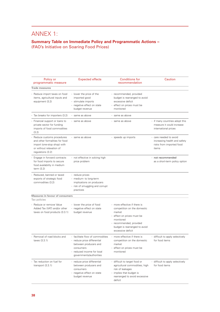# ANNEX 1:

# **Summary Table on Immediate Policy and Programmatic Actions –**  (FAO's Initiative on Soaring Food Prices)

| Policy or<br>programmatic measure                                                                                                             | <b>Expected effects</b>                                                                                                                                        | <b>Conditions for</b><br>recommendation                                                                                                                                                           | Caution                                                                                     |
|-----------------------------------------------------------------------------------------------------------------------------------------------|----------------------------------------------------------------------------------------------------------------------------------------------------------------|---------------------------------------------------------------------------------------------------------------------------------------------------------------------------------------------------|---------------------------------------------------------------------------------------------|
| <b>Trade measures</b>                                                                                                                         |                                                                                                                                                                |                                                                                                                                                                                                   |                                                                                             |
| Reduce import taxes on food<br>items, agricultural inputs and<br>equipment (3.2)                                                              | - lower the price of the<br>imported good<br>- stimulate imports<br>- negative effect on state<br>budget revenue                                               | - recommended, provided<br>budget is rearranged to avoid<br>excessive deficit<br>- effect on prices must be<br>monitored                                                                          |                                                                                             |
| - Tax breaks for importers (3.2)                                                                                                              | - same as above                                                                                                                                                | - same as above                                                                                                                                                                                   |                                                                                             |
| - Financial support or loans to<br>private sector for funding<br>imports of food commodities<br>(3.2)                                         | - same as above                                                                                                                                                | - same as above                                                                                                                                                                                   | - if many countries adopt this<br>measure it could increase<br>international prices         |
| - Reduce customs procedures<br>and other formalities for food<br>import (one-stop shop) with<br>or without relaxation of<br>regulations (3.2) | - same as above                                                                                                                                                | - speeds up imports                                                                                                                                                                               | - care needed to avoid<br>increasing health and safety<br>risks from imported food<br>items |
| Engage in forward contracts<br>for food imports to secure<br>food availability in medium<br>term (3.2)                                        | - not effective in solving high<br>price problem                                                                                                               |                                                                                                                                                                                                   | - not recommended<br>as a short-term policy option                                          |
| Reduced, banned or taxed<br>exports of strategic food<br>commodities (3.2)                                                                    | - reduce prices<br>- medium- to long-term<br>implications on producers<br>- risk of smuggling and corrupt<br>practices                                         |                                                                                                                                                                                                   |                                                                                             |
| <b>Measures in favour of consumers</b>                                                                                                        |                                                                                                                                                                |                                                                                                                                                                                                   |                                                                                             |
| Tax policies                                                                                                                                  |                                                                                                                                                                |                                                                                                                                                                                                   |                                                                                             |
| - Reduce or remove Value<br>Added Tax (VAT) and/or other<br>taxes on food products (3.3.1)                                                    | - lower the price of food<br>- negative effect on state<br>budget revenue                                                                                      | - more effective if there is<br>competition on the domestic<br>market<br>- effect on prices must be<br>monitored<br>- recommended, provided<br>budget is rearranged to avoid<br>excessive deficit |                                                                                             |
| Removal of road blocks and<br>taxes (3.3.1)                                                                                                   | - facilitate flow of commodities<br>- reduce price differential<br>between producers and<br>consumers<br>- reduced income for local<br>governments/authorities | - more effective if there is<br>competition on the domestic<br>market<br>- effect on prices must be<br>monitored                                                                                  | - difficult to apply selectively<br>for food items                                          |
| Tax reduction on fuel for<br>L.<br>transport $(3.3.1)$                                                                                        | - reduce price differential<br>between producers and<br>consumers<br>- negative effect on state<br>budget revenue                                              | - difficult to target food or<br>agricultural commodities; high<br>risk of leakages<br>- implies that budget is<br>rearranged to avoid excessive<br>deficit                                       | - difficult to apply selectively<br>for food items                                          |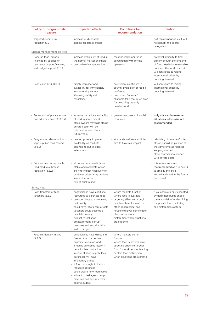| Policy or programmatic<br>measure                                                                            | <b>Expected effects</b>                                                                                                                                                                                                                                                                                                                                                                                                          | <b>Conditions for</b><br>recommendation                                                                                                                                                                                                                 | Caution                                                                                                                                                                                                  |
|--------------------------------------------------------------------------------------------------------------|----------------------------------------------------------------------------------------------------------------------------------------------------------------------------------------------------------------------------------------------------------------------------------------------------------------------------------------------------------------------------------------------------------------------------------|---------------------------------------------------------------------------------------------------------------------------------------------------------------------------------------------------------------------------------------------------------|----------------------------------------------------------------------------------------------------------------------------------------------------------------------------------------------------------|
| - Targeted income tax<br>reduction (3.3.1)                                                                   | - increase of disposable<br>income for target groups                                                                                                                                                                                                                                                                                                                                                                             |                                                                                                                                                                                                                                                         | - not recommended as it will<br>not benefit the poorer<br>categories                                                                                                                                     |
| Market management policies                                                                                   |                                                                                                                                                                                                                                                                                                                                                                                                                                  |                                                                                                                                                                                                                                                         |                                                                                                                                                                                                          |
| - Boosted food imports<br>financed by balance of<br>payments, import financing<br>and budget support (3.3.2) | - increase availability of food in<br>the normal market channels<br>- can undermine speculation                                                                                                                                                                                                                                                                                                                                  | - must be implemented in<br>consultation with private<br>operators                                                                                                                                                                                      | - potential difficulty to find<br>quickly enough the amounts<br>of food needed at reasonable<br>prices on the world market<br>- will contribute to raising<br>international prices by<br>boosting demand |
| - Food aid in kind (3.3.2)                                                                                   | - rapidly increase food<br>availability for immediately<br>implementing various<br>lifesaving safety net<br>modalities                                                                                                                                                                                                                                                                                                           | - only when insufficient in-<br>country availability of food is<br>confirmed<br>- only when "normal"<br>channels take too much time<br>for procuring urgently<br>needed food                                                                            | - will contribute to raising<br>international prices by<br>boosting demand                                                                                                                               |
| - Requisition of private stocks<br>(forced procurement) (3.3.2)                                              | - increase immediate availability<br>of food to some extent<br>- stock owners may hide stocks<br>- private sector will be<br>reluctant to keep stock in<br>future years                                                                                                                                                                                                                                                          | - government needs financial<br>resources                                                                                                                                                                                                               | - only advised in extreme<br>situations, otherwise not<br>recommended                                                                                                                                    |
| Progressive release of food<br>kept in public food reserve<br>(3.3.2)                                        | - can temporarily improve<br>availability on markets<br>- can help to put in place<br>safety nets                                                                                                                                                                                                                                                                                                                                | - stocks should have sufficient<br>size to have real impact                                                                                                                                                                                             | - rebuilding of reserves/buffer<br>stocks should be planned at<br>the same time as releases<br>are programmed<br>- close coordination needed<br>with private sector                                      |
| - Price control on key staple<br>food products through<br>regulation (3.3.2)                                 | - all consumers benefit from<br>stable and moderate prices<br>- likely to impact negatively on<br>producer prices; may produce<br>less in the future<br>- risk of black market                                                                                                                                                                                                                                                   |                                                                                                                                                                                                                                                         | - this measure is not<br>recommended as it is bound<br>to amplify the crisis<br>immediately and in the future<br>(next year)                                                                             |
| Safety nets                                                                                                  |                                                                                                                                                                                                                                                                                                                                                                                                                                  |                                                                                                                                                                                                                                                         |                                                                                                                                                                                                          |
| Cash transfers or food<br>vouchers (3.3.3)                                                                   | beneficiaries have additional<br>resources to purchase food<br>- can contribute to maintaining<br>diet quality<br>- could have inflationary effects<br>- vouchers could become a<br>parallel currency<br>- subject to leakages,<br>embezzlement, corrupt<br>practices and security risks<br>- cost to budget                                                                                                                     | - where markets function<br>- where food is available<br>- targeting effective through<br>cash/vouchers for work or<br>other geographical and<br>household-level identification<br>- plain unconditional<br>distribution when situations<br>are extreme | - if vouchers are only accepted<br>by dedicated public shops<br>there is a risk of undermining<br>the private food marketing<br>and distribution system                                                  |
| - Food distribution in kind<br>(3.3.3)                                                                       | - beneficiaries have direct and<br>free access to a certain<br>quantity (ration) of food<br>- if food is purchased locally, it<br>can stimulate production.<br>- in case of short supply, local<br>purchases will have<br>inflationary effect<br>- if food is brought in it could<br>reduce local prices<br>- could create new food habits<br>- subject to leakages, corrupt<br>practices and security risks<br>- cost to budget | - where markets do not<br>function<br>- where food is not available<br>- targeting effective through<br>food for work, school feeding<br>or plain food distribution<br>when situations are extreme                                                      |                                                                                                                                                                                                          |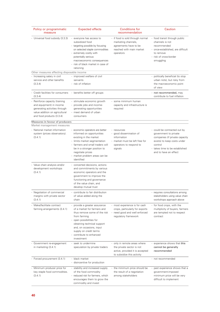| Policy or programmatic<br>measure                                                                                                                        | <b>Expected effects</b>                                                                                                                                                                                                                                               | <b>Conditions for</b><br>recommendation                                                                                       | Caution                                                                                                                                                                                      |  |
|----------------------------------------------------------------------------------------------------------------------------------------------------------|-----------------------------------------------------------------------------------------------------------------------------------------------------------------------------------------------------------------------------------------------------------------------|-------------------------------------------------------------------------------------------------------------------------------|----------------------------------------------------------------------------------------------------------------------------------------------------------------------------------------------|--|
| - Universal food subsidy (3.3.3)                                                                                                                         | - everyone has access to<br>subsidized food<br>- targeting possible by focusing<br>on selected staple commodities<br>- extremely costly with<br>potentially serious<br>macroeconomic consequences<br>- risk of black market in case of<br>rationing                   | - if food is sold through normal<br>marketing channels,<br>agreements have to be<br>reached with main market<br>operators     | - food transit through public<br>channels is not<br>recommended<br>- once-established, are difficult<br>to remove<br>- risk of cross-border<br>smuggling                                     |  |
| Other measures affecting disposable income                                                                                                               |                                                                                                                                                                                                                                                                       |                                                                                                                               |                                                                                                                                                                                              |  |
| Increasing salary in civil<br>service and other benefits<br>(3.3.4)                                                                                      | - improved welfare of civil<br>servants<br>- risk of inflation                                                                                                                                                                                                        |                                                                                                                               | - politically beneficial (to stop<br>urban riots), but risky from<br>the macroeconomic point<br>of view                                                                                      |  |
| Credit facilities for consumers<br>(3.3.4)                                                                                                               | - benefits better off groups                                                                                                                                                                                                                                          |                                                                                                                               | - not recommended, may<br>contribute to fuel inflation                                                                                                                                       |  |
| Reinforce capacity (training<br>and equipment) in income<br>generating activities through<br>value addition on agricultural<br>and food products (3.3.4) | - stimulate economic growth<br>- provide jobs and income-<br>generating opportunities<br>- meet demand of urban<br>consumers                                                                                                                                          | - some minimum human<br>capacity and infrastructure is<br>required                                                            |                                                                                                                                                                                              |  |
| <b>Measures in favour of producers</b><br>Market management measures                                                                                     |                                                                                                                                                                                                                                                                       |                                                                                                                               |                                                                                                                                                                                              |  |
| - National market information<br>system (prices observatory).<br>(3.4.1)                                                                                 | - economic operators are better<br>informed on opportunities<br>existing in the market<br>- limits market segmentation<br>- farmers and small traders will<br>be in a stronger position to<br>negotiate prices<br>- market problem areas can be<br>identified         | - resources<br>- good dissemination of<br>information<br>- market must be left free for<br>operators to respond to<br>signals | - could be contracted out by<br>government to private<br>companies (if private capacity<br>exists) to keep costs under<br>control<br>- takes time to be established<br>and to have an effect |  |
| - Value chain analysis and/or<br>development workshops<br>(3.4.1)                                                                                        | - concerted decisions, actions<br>and commitments by various<br>economic operators and the<br>government to improve the<br>functioning and governance<br>of the value chain, and<br>develop mutual trust                                                              |                                                                                                                               |                                                                                                                                                                                              |  |
| Negotiation of commercial<br>margins with private sector<br>(3.4.1)                                                                                      | contribute to fair distribution<br>of value added along the<br>chain                                                                                                                                                                                                  |                                                                                                                               | requires consultations among<br>stakeholders using value chain<br>workshops approach above                                                                                                   |  |
| Make/facilitate contract<br>farming arrangements (3.4.1)                                                                                                 | provide a greater assurance<br>of a market for farmers and<br>thus remove some of the risk<br>from farming<br>- open possibilities for<br>obtaining technical support<br>and, on occasions, input<br>supply on credit terms<br>- contribute to enhanced<br>investment | - most experience is for cash<br>crops, particularly for exports<br>need good and well enforced<br>regulatory framework       | - for food crops, with the<br>multiplicity of buyers, farmers<br>are tempted not to respect<br>contract                                                                                      |  |
| Government re-engagement<br>in marketing (3.4.1)                                                                                                         | - seek to undermine<br>speculation by private traders                                                                                                                                                                                                                 | - only in remote areas where<br>the private sector is not<br>active, provided it is accepted<br>to subsidize this activity    | - experience shows that this<br>cannot be generally<br>recommended                                                                                                                           |  |
| - Forced procurement (3.4.1)                                                                                                                             | - black market<br>- disincentive for production                                                                                                                                                                                                                       |                                                                                                                               | - not recommended                                                                                                                                                                            |  |
| Minimum producer price for<br>$\frac{1}{2}$<br>key staple food commodities.<br>(3.4.1)                                                                   | - stability and increased supply<br>of the food commodity<br>- reduced risk for farmers, which<br>encourages them to grow the<br>commodity and invest                                                                                                                 | - the minimum price should be<br>the result of a negotiation<br>among stakeholders                                            | - past experience shows that a<br>government-imposed<br>minimum price will be very<br>difficult to implement                                                                                 |  |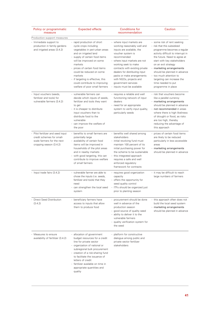| Policy or programmatic<br>measure                                                                                           | <b>Expected effects</b>                                                                                                                                                                                                                                                                                                                                                  | <b>Conditions for</b><br>recommendation                                                                                                                                                                                                                                                                                                                               | Caution                                                                                                                                                                                                                                                                                                                                                                                |
|-----------------------------------------------------------------------------------------------------------------------------|--------------------------------------------------------------------------------------------------------------------------------------------------------------------------------------------------------------------------------------------------------------------------------------------------------------------------------------------------------------------------|-----------------------------------------------------------------------------------------------------------------------------------------------------------------------------------------------------------------------------------------------------------------------------------------------------------------------------------------------------------------------|----------------------------------------------------------------------------------------------------------------------------------------------------------------------------------------------------------------------------------------------------------------------------------------------------------------------------------------------------------------------------------------|
| Production support measures                                                                                                 |                                                                                                                                                                                                                                                                                                                                                                          |                                                                                                                                                                                                                                                                                                                                                                       |                                                                                                                                                                                                                                                                                                                                                                                        |
| - Immediate support to<br>production in family gardens<br>and irrigated areas (3.4.2)                                       | - rapid production of short<br>cycle crops including<br>vegetables in peri-urban areas<br>and on irrigated land<br>- supply of certain food items<br>will be improved on some<br>markets<br>- prices of certain food items<br>could be reduced on some<br>markets<br>- if targeting is effective, this<br>could contribute to improving<br>welfare of poor small farmers | - where input markets are<br>working reasonably well and<br>inputs are available, the<br>voucher system is<br>recommended<br>- where input markets are not<br>working seek to make<br>contracts with existing private<br>dealers for distributing input<br>packs or make arrangements<br>with NGOs, projects and<br>government services<br>- inputs must be available | - some risk of rent seeking<br>- risk that this subsidized<br>programme becomes a regular<br>activity difficult to interrupt in<br>the future. Need to agree at<br>start with key stakeholders<br>on an exit strategy<br>- marketing arrangements<br>should be planned in advance<br>- too much attention to<br>targeting can increase the<br>time needed to put<br>programme in place |
| - Input vouchers (seeds,<br>fertilizer and tools) for<br>vulnerable farmers (3.4.2)                                         | - vulnerable farmers can<br>decide which inputs of seeds,<br>fertilizer and tools they want<br>to get<br>- it is cheaper to distribute<br>input vouchers than to<br>distribute food to the<br>vulnerable<br>- can improve the welfare of<br>the poor                                                                                                                     | - requires a reliable and well<br>functioning network of input<br>dealers<br>- need for an appropriate<br>system to verify input quality,<br>particularly seeds                                                                                                                                                                                                       | - risk that vouchers become<br>like a parallel currency<br>- marketing arrangements<br>should be planned in advance<br>- not recommended in areas<br>where there is high likeliness<br>of drought or flood, as risks<br>are too high, thereby<br>reducing the advantage of<br>this approach                                                                                            |
| L,<br>Pilot fertilizer and seed input<br>credit schemes for small-<br>scale farmers for the next<br>cropping season (3.4.2) | - benefits to small farmers are<br>potentially large<br>- availability of certain food<br>items will be improved in<br>households of the pilot areas<br>and in nearby markets<br>- with good targeting, this can<br>contribute to improve welfare<br>of small farmers                                                                                                    | - benefits well shared among<br>stakeholders<br>- initial revolving fund must<br>maintain 100 percent of its<br>initial purchasing power for<br>the scheme to be sustainable<br>- this integrated approach<br>requires a safe and well<br>enforced regulatory<br>framework for contracts                                                                              | - prices of certain food items<br>are likely to be reduced<br>particularly in less accessible<br>areas<br>- marketing arrangements<br>should be planned in advance                                                                                                                                                                                                                     |
| Input trade fairs (3.4.2)                                                                                                   | - vulnerable farmer are able to<br>chose the inputs (i.e. seeds,<br>fertilizer and tools) that they<br>need<br>- can strengthen the local seed<br>system                                                                                                                                                                                                                 | - requires good organization<br>capacity<br>- offers the opportunity for<br>seed quality control<br>- ITFs should be organized just<br>prior to planting season                                                                                                                                                                                                       | - it may be difficult to reach<br>large numbers of farmers                                                                                                                                                                                                                                                                                                                             |
| <b>Direct Seed Distribution</b><br>(3.4.2)                                                                                  | - beneficiary farmers have<br>access to inputs that allow<br>them to produce food                                                                                                                                                                                                                                                                                        | - procurement should be done<br>well in advance of the<br>production season<br>- good source of quality seed<br>- ability to deliver it to the<br>vulnerable farmers<br>- quality verification system for<br>the seed                                                                                                                                                 | - this approach often does not<br>build the local seed system<br>- marketing arrangements<br>should be planned in advance                                                                                                                                                                                                                                                              |
| - Measures to ensure<br>availability of fertilizer (3.4.2)                                                                  | - allocation of government<br>budget resources for a credit<br>line for private sector<br>- organization of national or<br>subregional bulk procurement<br>- creation of a risk-sharing fund<br>to facilitate the issuance of<br>letters of credit<br>- fertilizer available on time in<br>appropriate quantities and<br>quality                                         | - platform for constructive<br>dialogue among public and<br>private sector fertilizer<br>stakeholders                                                                                                                                                                                                                                                                 |                                                                                                                                                                                                                                                                                                                                                                                        |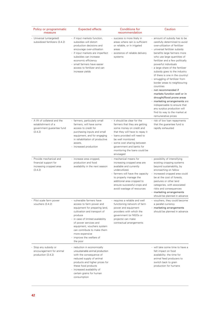| Policy or programmatic<br>measure                                                          | <b>Expected effects</b>                                                                                                                                                                                                                                                                                                | <b>Conditions for</b><br>recommendation                                                                                                                                                                                                                                                     | Caution                                                                                                                                                                                                                                                                                                                                                                                                                                                                                                                                                                                                                                                                                         |
|--------------------------------------------------------------------------------------------|------------------------------------------------------------------------------------------------------------------------------------------------------------------------------------------------------------------------------------------------------------------------------------------------------------------------|---------------------------------------------------------------------------------------------------------------------------------------------------------------------------------------------------------------------------------------------------------------------------------------------|-------------------------------------------------------------------------------------------------------------------------------------------------------------------------------------------------------------------------------------------------------------------------------------------------------------------------------------------------------------------------------------------------------------------------------------------------------------------------------------------------------------------------------------------------------------------------------------------------------------------------------------------------------------------------------------------------|
| Universal (untargeted)<br>subsidized fertilizers (3.4.2)                                   | - if input markets function,<br>subsidies will distort<br>production decisions and<br>encourage over-utilisation<br>- if input markets are imperfect<br>subsidies can increase<br>economic efficiency<br>- small farmers have easier<br>access to fertilizer and can<br>increase yields                                | - success is more likely in<br>areas where rain is sufficient<br>or reliable, or in irrigated<br>areas<br>- existence of reliable delivery<br>systems                                                                                                                                       | - amount of subsidy has to be<br>carefully determined to avoid<br>over-utilization of fertilizer<br>- universal fertilizer subsidy<br>benefits large farmers more<br>who use large quantities of<br>fertilizer and a few politically<br>powerful individuals<br>- a large share of the fertilizer<br>subsidy goes to the industry<br>(if there is one in the country)<br>- smuggling of fertilizer from<br>border areas to neighbouring<br>countries<br>- not recommended if<br>markets function well or in<br>drought/flood prone areas<br>- marketing arrangements are<br>indispensable to ensure that<br>any surplus production will<br>find its way to the market at<br>remunerative prices |
| A lift of collateral and the<br>establishment of a<br>government guarantee fund<br>(3.4.2) | - farmers, particularly small<br>farmers, will have some<br>access to credit for<br>purchasing inputs and small<br>equipment, and for engaging<br>in rehabilitation of productive<br>assets.<br>- increased production                                                                                                 | - it should be clear for the<br>farmers that they are getting<br>some money on credit and<br>that they will have to repay it<br>- loans provided will need to<br>be well monitored<br>- some cost sharing between<br>government and banks for<br>monitoring the loans could be<br>envisaged | - risk of low loan repayments<br>that the guarantee fund is<br>rapidly exhausted                                                                                                                                                                                                                                                                                                                                                                                                                                                                                                                                                                                                                |
| Provide mechanical and<br>financial support for<br>increasing cropped area<br>(3.4.2)      | - increase area cropped,<br>production and food<br>availability in the next season                                                                                                                                                                                                                                     | - mechanical means for<br>increasing cropped area are<br>available and currently<br>underutilized.<br>- farmers will have the capacity<br>to properly manage the<br>additional area cropped to<br>ensure successful crops and<br>avoid wastage of resources                                 | - possibility of intensifying<br>existing cropping systems<br>beyond sustainability, by<br>encroaching on fallow<br>- increased cropped area could<br>be at the cost of forests,<br>pastures or other land<br>categories, with associated<br>risks and consequences<br>- marketing arrangements<br>should be planned in advance                                                                                                                                                                                                                                                                                                                                                                 |
| Pilot scale farm power<br>vouchers (3.4.2)                                                 | - vulnerable farmers have<br>access to farm power and<br>equipment for preparing land,<br>cultivation and transport of<br>produce<br>- in case of limited availability<br>of power services and<br>equipment, vouchers system<br>can contribute to make them<br>more expensive<br>- improve the welfare of<br>the poor | - requires a reliable and well<br>functioning network of farm<br>power and equipment<br>providers with which the<br>government (or NGOs or<br>projects) can make<br>contractual arrangements                                                                                                | - vouchers, they could become<br>a parallel currency<br>- marketing arrangements<br>should be planned in advance                                                                                                                                                                                                                                                                                                                                                                                                                                                                                                                                                                                |
| Stop any subsidy or<br>encouragement for animal<br>production (3.4.2)                      | - reduction in economically<br>unsustainable animal production<br>with the consequence of<br>reduced supply of animal<br>products and higher prices for<br>these food products<br>- increased availability of<br>certain grains for human<br>consumption                                                               |                                                                                                                                                                                                                                                                                             | - will take some time to have a<br>felt impact on food<br>availability: the time for<br>animal feed producers to<br>switch back to grain<br>production for humans                                                                                                                                                                                                                                                                                                                                                                                                                                                                                                                               |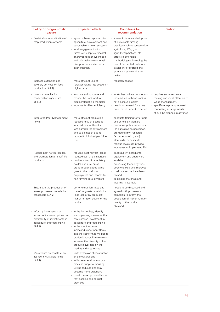| Policy or programmatic<br>measure                                                                                                        | <b>Expected effects</b>                                                                                                                                                                                                                                                                                                                      | <b>Conditions for</b><br>recommendation                                                                                                                                                                                                                                                                                 | Caution                                                                                                                                                                                                 |
|------------------------------------------------------------------------------------------------------------------------------------------|----------------------------------------------------------------------------------------------------------------------------------------------------------------------------------------------------------------------------------------------------------------------------------------------------------------------------------------------|-------------------------------------------------------------------------------------------------------------------------------------------------------------------------------------------------------------------------------------------------------------------------------------------------------------------------|---------------------------------------------------------------------------------------------------------------------------------------------------------------------------------------------------------|
| Sustainable intensification of<br>crop production systems                                                                                | - systems based approach to<br>agricultural development and<br>sustainable farming systems<br>- local engagement with<br>farmers in adaptive research<br>- improved farmer livelihoods,<br>and minimal environmental<br>disruption associated with<br>intensification                                                                        | - access to inputs and adoption<br>of sustainable farming<br>practices such as conservation<br>agriculture, IPM, good<br>agricultural practices, etc<br>- effective extension<br>methodologies, including the<br>use of farmer field schools,<br>- availability of professional<br>extension service able to<br>deliver |                                                                                                                                                                                                         |
| - Increase extension and<br>advisory services on food<br>production (3.4.2)                                                              | - more efficient use of<br>fertilizer, taking into account it<br>higher price                                                                                                                                                                                                                                                                | - research needed                                                                                                                                                                                                                                                                                                       |                                                                                                                                                                                                         |
| Low cost mechanical<br>conservation agriculture<br>(3.4.2)                                                                               | improve soil structure and<br>reduce the hard work of<br>digging/ploughing the fields<br>- increase fertilizer efficiency                                                                                                                                                                                                                    | - works best where competition<br>for residues with livestock is<br>not a serious problem<br>- needs to be used for some<br>time for full benefit to be felt                                                                                                                                                            | requires some technical<br>$\overline{\phantom{a}}$<br>training and initial attention to<br>weed management.<br>- specific equipment required<br>marketing arrangements<br>should be planned in advance |
| Integrated Pest Management<br>ä,<br>(IPM)                                                                                                | - more efficient production<br>- reduced risks of pesticide<br>induced pest outbreaks<br>- less hazards for environment<br>and public health due to<br>reduced/minimized pesticide<br>use                                                                                                                                                    | - adequate training for farmers<br>and extension workers<br>- conducive policy framework<br>(no subsidies on pesticides,<br>promoting IPM research,<br>farmer education, etc.)<br>- standards for pesticide<br>residue levels can provide<br>incentives to implement IPM                                                |                                                                                                                                                                                                         |
| - Reduce post-harvest losses<br>and promote longer shelf-life<br>products                                                                | - reduced post-harvest losses<br>reduced cost of transportation<br>- nutritious food immediately<br>available in rural areas<br>- profit through added-value<br>goes to the rural poor<br>- employment and income for<br>non-farming rural dwellers                                                                                          | - good quality ingredients,<br>equipment and energy are<br>available<br>- processing technology has<br>been checked and improved<br>- rural processors have been<br>trained<br>- packaging materials and<br>labelling is available                                                                                      |                                                                                                                                                                                                         |
| Encourage the production of<br>lesser processed cereals by<br>processors (3.4.2)                                                         | - better extraction rates and<br>therefore greater availability<br>(less loss of by products)<br>- higher nutrition quality of the<br>product                                                                                                                                                                                                | - needs to be discussed and<br>agreed with processors<br>- campaign to inform the<br>population of higher nutrition<br>quality of the product<br>obtained                                                                                                                                                               |                                                                                                                                                                                                         |
| - Inform private sector on<br>impact of increased prices on<br>profitability of investments in<br>agriculture and food chains<br>(3.4.2) | - in the immediate, identify<br>accompanying measures that<br>can increase investment in<br>agriculture and food chains<br>- in the medium term,<br>increased investment flows<br>into the sector that will boost<br>production, stabilize markets,<br>increase the diversity of food<br>products available on the<br>market and create jobs |                                                                                                                                                                                                                                                                                                                         |                                                                                                                                                                                                         |
| Moratorium on construction<br>licence in cultivable lands<br>(3.4.2)                                                                     | - limits expansion of construction<br>on agricultural land<br>- will create tension in urban<br>areas as supply of housing<br>will be reduced and may<br>become more expensive<br>- could create opportunities for<br>rent seeking and corrupt<br>practices                                                                                  |                                                                                                                                                                                                                                                                                                                         |                                                                                                                                                                                                         |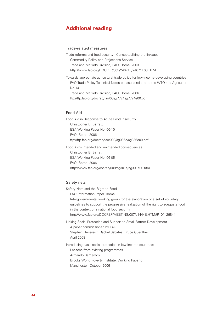# **Additional reading**

# Trade-related measures

Trade reforms and food security - Conceptualizing the linkages Commodity Policy and Projections Service Trade and Markets Division, FAO, Rome, 2003 http://www.fao.org/DOCREP/005/Y4671E/Y4671E00.HTM

Towards appropriate agricultural trade policy for low-income developing countries FAO Trade Policy Technical Notes on Issues related to the WTO and Agriculture No.14 Trade and Markets Division, FAO, Rome, 2006 ftp://ftp.fao.org/docrep/fao/009/j7724e/j7724e00.pdf

# Food Aid

Food Aid in Response to Acute Food Insecurity Christopher B. Barrett ESA Working Paper No. 06-10 FAO, Rome, 2006 ftp://ftp.fao.org/docrep/fao/009/ag036e/ag036e00.pdf

Food Aid´s intended and unintended consequences Christopher B. Barret ESA Working Paper No. 06-05 FAO, Rome, 2006 http://www.fao.org/docrep/009/ag301e/ag301e00.htm

# Safety nets

Safety Nets and the Right to Food FAO Information Paper, Rome Intergovernmental working group for the elaboration of a set of voluntary guidelines to support the progressive realization of the right to adequate food in the context of a national food security

http://www.fao.org/DOCREP/MEETING/007/J1444E.HTM#P101\_26844

Linking Social Protection and Support to Small Farmer Development

A paper commissioned by FAO Stephen Devereux, Rachel Sabates, Bruce Guenther April 2008

Introducing basic social protection in low-income countries: Lessons from existing programmes Armando Barrientos Brooks World Poverty Institute, Working Paper 6 Manchester, October 2006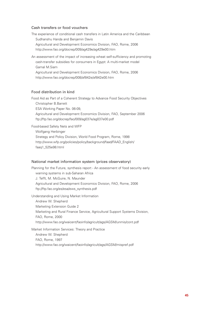# Cash transfers or food vouchers

The experience of conditional cash transfers in Latin America and the Caribbean Sudhanshu Handa and Benjamin Davis Agricultural and Development Economics Division, FAO, Rome, 2006 http://www.fao.org/docrep/009/ag429e/ag429e00.htm

An assessment of the impact of increasing wheat self-sufficiency and promoting cash-transfer subsidies for consumers in Egypt: A multi-market model Gamal M.Siam

Agricultural and Development Economics Division, FAO, Rome, 2006 http://www.fao.org/docrep/008/af842e/af842e00.htm

# Food distribution in kind

Food Aid as Part of a Coherent Strategy to Advance Food Security Objectives Christopher B.Barrett ESA Working Paper No. 06-09, Agricultural and Development Economics Division, FAO, September 2006 ftp://ftp.fao.org/docrep/fao/009/ag037e/ag037e00.pdf

Food-based Safety Nets and WFP

Wolfgang Herbinger Strategy and Policy Division, World Food Program, Rome, 1998 http://www.wfp.org/policies/policy/background/faad/FAAD\_English/ faaq1\_525e98.html

#### National market information system (prices observatory)

Planning for the Future, synthesis report - An assessment of food security early warning systems in sub-Saharan Africa J. Tefft, M. McGuire, N. Maunder Agricultural and Development Economics Division, FAO, Rome, 2006 ftp://ftp.fao.org/es/esa/ews\_synthesis.pdf

Understanding and Using Market Information Andrew W. Shepherd Marketing Extension Guide 2 Marketing and Rural Finance Service, Agricultural Support Systems Division, FAO, Rome, 2000 http://www.fao.org/waicent/faoinfo/agricult/ags/AGSM/unmis/cont.pdf

Market Information Services: Theory and Practice Andrew W. Shepherd FAO, Rome, 1997 http://www.fao.org/waicent/faoinfo/agricult/ags/AGSM/mispref.pdf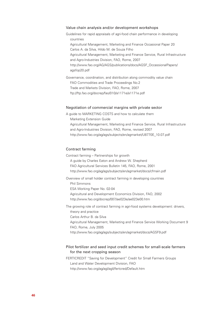#### Value chain analysis and/or development workshops

Guidelines for rapid appraisals of agri-food chain performance in developing countries Agricultural Management, Marketing and Finance Occasional Paper 20 Carlos A. da Silva, Hildo M. de Souza Filho Agricultural Management, Marketing and Finance Service, Rural Infrastructure and Agro-Industries Division, FAO, Rome, 2007 http://www.fao.org/AG/AGS/publications/docs/AGSF\_OccassionalPapers/ agsfop20.pdf

Governance, coordination, and distribution along commodity value chain FAO Commodities and Trade Proceedings No.2 Trade and Markets Division, FAO, Rome, 2007 ftp://ftp.fao.org/docrep/fao/010/a1171e/a1171e.pdf

### Negotiation of commercial margins with private sector

A guide to MARKETING COSTS and how to calculate them Marketing Extension Guide Agricultural Management, Marketing and Finance Service, Rural Infrastructure and Agro-Industries Division, FAO, Rome, revised 2007 http://www.fao.org/ag/ags/subjects/en/agmarket/U8770E\_10.07.pdf

# Contract farming

Contract farming – Partnerships for growth

A guide by Charles Eaton and Andrew W. Shepherd

FAO Agricultural Services Bulletin 145, FAO, Rome, 2001

http://www.fao.org/ag/ags/subjects/en/agmarket/docs/cfmain.pdf

Overview of small holder contract farming in developing countries Phil Simmons ESA Working Paper No. 02-04

Agricultural and Development Economics Division, FAO, 2002 http://www.fao.org/docrep/007/ae023e/ae023e00.htm

The growing role of contract farming in agri-food systems development: drivers, theory and practice Carlos Arthur B. da Silva Agricultural Management, Marketing and Finance Service Working Document 9 FAO, Rome, July 2005

http://www.fao.org/ag/ags/subjects/en/agmarket/docs/AGSF9.pdf

# Pilot fertilizer and seed input credit schemes for small-scale farmers for the next cropping season

FERTICREDIT "Saving for Development" Credit for Small Farmers Groups Land and Water Development Division, FAO http://www.fao.org/ag/agl/agll/fertcred/Default.htm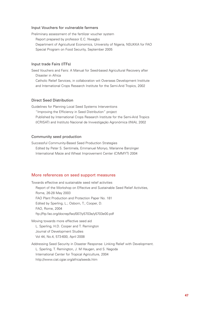#### Input Vouchers for vulnerable farmers

Preliminary assessment of the fertilizer voucher system Report prepared by professor E.C. Nwagbo Department of Agricultural Economics, University of Nigeria, NSUKKA for FAO Special Program on Food Security, September 2005

# Input trade Fairs (ITFs)

Seed Vouchers and Fairs: A Manual for Seed-based Agricultural Recovery after Disaster in Africa Catholic Relief Services, in collaboration wit Overseas Development Institute and International Crops Research Institute for the Semi-Arid Tropics, 2002

# Direct Seed Distribution

Guidelines for Planning Local Seed Systems Interventions "Improving the Efficiency in Seed Distribution" project Published by International Crops Research Institute for the Semi-Arid Tropics (ICRISAT) and Instituto Nacional de Invvestigação Agronómica (INIA), 2002

#### Community seed production

Successful Community-Based Seed Production Strategies Edited by Peter S. Sentimela, Emmanuel Monyo, Marianne Banzinger International Maize and Wheat Improvement Center (CIMMYT) 2004

#### More references on seed support measures

Towards effective and sustainable seed relief activities Report of the Workshop on Effective and Sustainable Seed Relief Activities, Rome, 26-28 May 2003 FAO Plant Production and Protection Paper No. 181 Edited by Sperling, L.; Osborn, T.; Cooper, D. FAO, Rome, 2004 ftp://ftp.fao.org/docrep/fao/007/y5703e/y5703e00.pdf

Moving towards more effective seed aid L. Sperling, H.D. Cooper and T. Remington Journal of Development Studies Vol 44, No.4, 573-600, April 2008

Addressing Seed Security in Disaster Response: Linking Relief with Development. L. Sperling, T. Remington, J. M Haugen, and S. Nagoda International Center for Tropical Agriculture, 2004 http://www.ciat.cgiar.org/africa/seeds.htm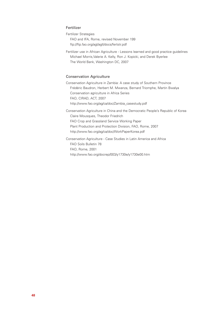# Fertilizer

Fertilizer Strategies FAO and IFA, Rome, revised November 199 ftp://ftp.fao.org/agl/agll/docs/fertstr.pdf

Fertilizer use in African Agriculture - Lessons learned and good practice guidelines Michael Morris,Valerie A. Kelly, Ron J. Kopicki, and Derek Byerlee The World Bank, Washington DC, 2007

## Conservation Agriculture

Conservation Agriculture in Zambia: A case study of Southern Province Frédéric Baudron, Herbert M. Mwanza, Bernard Triomphe, Martin Bwalya Conservation agriculture in Africa Series FAO, CIRAD, ACT, 2007 http://www.fao.org/ag/ca/doc/Zambia\_casestudy.pdf

Conservation Agriculture in China and the Democratic People's Republic of Korea Claire Mousques, Theodor Friedrich FAO Crop and Grassland Service Working Paper Plant Production and Protection Division, FAO, Rome, 2007 http://www.fao.org/ag/ca/doc/WorkPaperKorea.pdf

Conservation Agriculture - Case Studies in Latin America and Africa FAO Soils Bulletin 78 FAO, Rome, 2001 http://www.fao.org/docrep/003/y1730e/y1730e00.htm